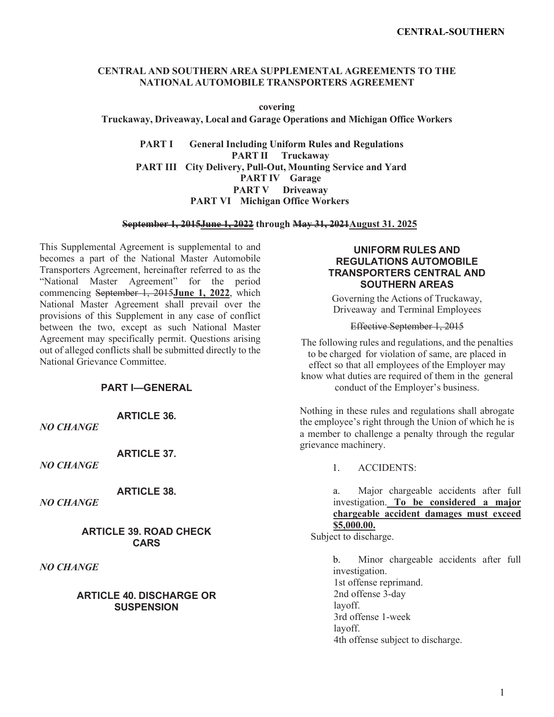## **CENTRAL AND SOUTHERN AREA SUPPLEMENTAL AGREEMENTS TO THE NATIONAL AUTOMOBILE TRANSPORTERS AGREEMENT**

**covering**

**Truckaway, Driveaway, Local and Garage Operations and Michigan Office Workers**

**PART I General Including Uniform Rules and Regulations PART II Truckaway PART III City Delivery, Pull-Out, Mounting Service and Yard PART IV Garage PART V Driveaway PART VI Michigan Office Workers**

**September 1, 2015June 1, 2022 through May 31, 2021August 31. 2025** 

This Supplemental Agreement is supplemental to and becomes a part of the National Master Automobile Transporters Agreement, hereinafter referred to as the "National Master Agreement" for the period commencing September 1, 2015**June 1, 2022**, which National Master Agreement shall prevail over the provisions of this Supplement in any case of conflict between the two, except as such National Master Agreement may specifically permit. Questions arising out of alleged conflicts shall be submitted directly to the National Grievance Committee.

## **PART I—GENERAL**

**ARTICLE 36.**

*NO CHANGE*

**ARTICLE 37.**

*NO CHANGE*

**ARTICLE 38.**

*NO CHANGE*

**ARTICLE 39. ROAD CHECK CARS**

*NO CHANGE*

### **ARTICLE 40. DISCHARGE OR SUSPENSION**

## **UNIFORM RULES AND REGULATIONS AUTOMOBILE TRANSPORTERS CENTRAL AND SOUTHERN AREAS**

Governing the Actions of Truckaway, Driveaway and Terminal Employees

Effective September 1, 2015

The following rules and regulations, and the penalties to be charged for violation of same, are placed in effect so that all employees of the Employer may know what duties are required of them in the general conduct of the Employer's business.

Nothing in these rules and regulations shall abrogate the employee's right through the Union of which he is a member to challenge a penalty through the regular grievance machinery.

1. ACCIDENTS:

a. Major chargeable accidents after full investigation. **To be considered a major chargeable accident damages must exceed \$5,000.00.**

Subject to discharge.

b. Minor chargeable accidents after full investigation. 1st offense reprimand. 2nd offense 3-day layoff. 3rd offense 1-week layoff. 4th offense subject to discharge.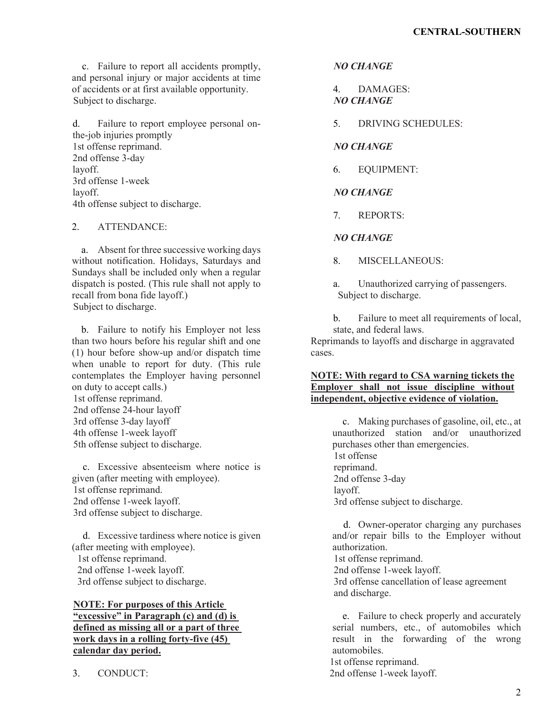c. Failure to report all accidents promptly, and personal injury or major accidents at time of accidents or at first available opportunity. Subject to discharge.

d. Failure to report employee personal onthe-job injuries promptly 1st offense reprimand. 2nd offense 3-day layoff. 3rd offense 1-week layoff. 4th offense subject to discharge.

# 2. ATTENDANCE:

a. Absent for three successive working days without notification. Holidays, Saturdays and Sundays shall be included only when a regular dispatch is posted. (This rule shall not apply to recall from bona fide layoff.) Subject to discharge.

b. Failure to notify his Employer not less than two hours before his regular shift and one (1) hour before show-up and/or dispatch time when unable to report for duty. (This rule contemplates the Employer having personnel on duty to accept calls.) 1st offense reprimand. 2nd offense 24-hour layoff 3rd offense 3-day layoff 4th offense 1-week layoff 5th offense subject to discharge.

c. Excessive absenteeism where notice is given (after meeting with employee). 1st offense reprimand. 2nd offense 1-week layoff. 3rd offense subject to discharge.

d. Excessive tardiness where notice is given (after meeting with employee). 1st offense reprimand. 2nd offense 1-week layoff. 3rd offense subject to discharge.

## **NOTE: For purposes of this Article "excessive" in Paragraph (c) and (d) is defined as missing all or a part of three work days in a rolling forty-five (45) calendar day period.**

3. CONDUCT:

*NO CHANGE*

4. DAMAGES: *NO CHANGE*

5. DRIVING SCHEDULES:

*NO CHANGE* 

6. EQUIPMENT:

# *NO CHANGE*

7. REPORTS:

## *NO CHANGE*

8. MISCELLANEOUS:

a. Unauthorized carrying of passengers. Subject to discharge.

b. Failure to meet all requirements of local, state, and federal laws.

Reprimands to layoffs and discharge in aggravated cases.

## **NOTE: With regard to CSA warning tickets the Employer shall not issue discipline without independent, objective evidence of violation.**

c. Making purchases of gasoline, oil, etc., at unauthorized station and/or unauthorized purchases other than emergencies. 1st offense reprimand. 2nd offense 3-day layoff. 3rd offense subject to discharge.

d. Owner-operator charging any purchases and/or repair bills to the Employer without authorization. 1st offense reprimand. 2nd offense 1-week layoff. 3rd offense cancellation of lease agreement

and discharge.

e. Failure to check properly and accurately serial numbers, etc., of automobiles which result in the forwarding of the wrong automobiles. 1st offense reprimand. 2nd offense 1-week layoff.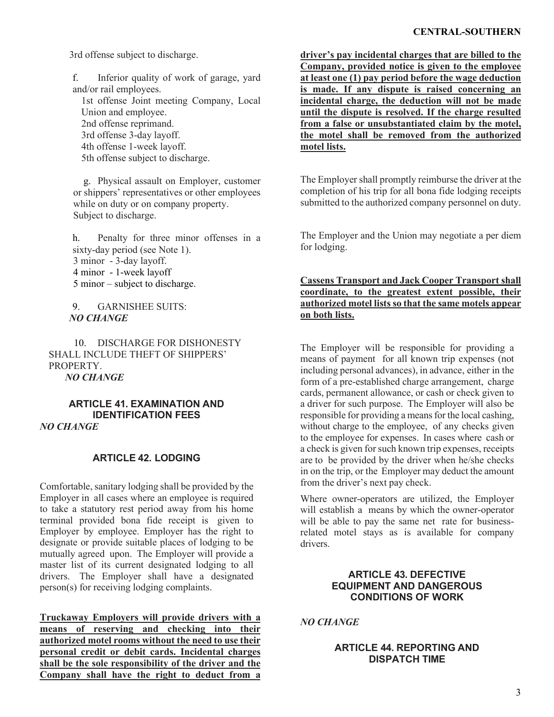### **CENTRAL-SOUTHERN**

3rd offense subject to discharge.

f. Inferior quality of work of garage, yard and/or rail employees. 1st offense Joint meeting Company, Local Union and employee. 2nd offense reprimand. 3rd offense 3-day layoff. 4th offense 1-week layoff. 5th offense subject to discharge.

g. Physical assault on Employer, customer or shippers' representatives or other employees while on duty or on company property. Subject to discharge.

h. Penalty for three minor offenses in a sixty-day period (see Note 1). 3 minor - 3-day layoff. 4 minor - 1-week layoff 5 minor – subject to discharge.

9. GARNISHEE SUITS: *NO CHANGE* 

10. DISCHARGE FOR DISHONESTY SHALL INCLUDE THEFT OF SHIPPERS' PROPERTY. *NO CHANGE*

### **ARTICLE 41. EXAMINATION AND IDENTIFICATION FEES** *NO CHANGE*

## **ARTICLE 42. LODGING**

Comfortable, sanitary lodging shall be provided by the Employer in all cases where an employee is required to take a statutory rest period away from his home terminal provided bona fide receipt is given to Employer by employee. Employer has the right to designate or provide suitable places of lodging to be mutually agreed upon. The Employer will provide a master list of its current designated lodging to all drivers. The Employer shall have a designated person(s) for receiving lodging complaints.

**Truckaway Employers will provide drivers with a means of reserving and checking into their authorized motel rooms without the need to use their personal credit or debit cards. Incidental charges shall be the sole responsibility of the driver and the Company shall have the right to deduct from a** 

**driver's pay incidental charges that are billed to the Company, provided notice is given to the employee at least one (1) pay period before the wage deduction is made. If any dispute is raised concerning an incidental charge, the deduction will not be made until the dispute is resolved. If the charge resulted from a false or unsubstantiated claim by the motel, the motel shall be removed from the authorized motel lists.**

The Employer shall promptly reimburse the driver at the completion of his trip for all bona fide lodging receipts submitted to the authorized company personnel on duty.

The Employer and the Union may negotiate a per diem for lodging.

## **Cassens Transport and Jack Cooper Transport shall coordinate, to the greatest extent possible, their authorized motel lists so that the same motels appear on both lists.**

The Employer will be responsible for providing a means of payment for all known trip expenses (not including personal advances), in advance, either in the form of a pre-established charge arrangement, charge cards, permanent allowance, or cash or check given to a driver for such purpose. The Employer will also be responsible for providing a means for the local cashing, without charge to the employee, of any checks given to the employee for expenses. In cases where cash or a check is given for such known trip expenses, receipts are to be provided by the driver when he/she checks in on the trip, or the Employer may deduct the amount from the driver's next pay check.

Where owner-operators are utilized, the Employer will establish a means by which the owner-operator will be able to pay the same net rate for businessrelated motel stays as is available for company drivers.

# **ARTICLE 43. DEFECTIVE EQUIPMENT AND DANGEROUS CONDITIONS OF WORK**

*NO CHANGE*

# **ARTICLE 44. REPORTING AND DISPATCH TIME**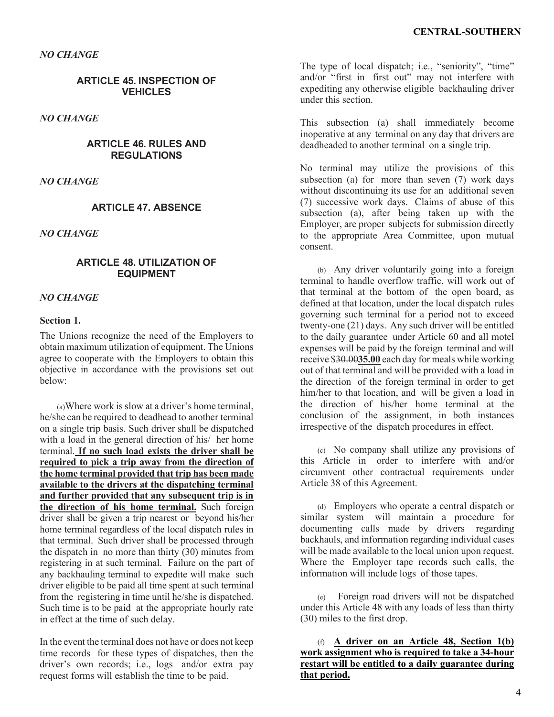*NO CHANGE*

## **ARTICLE 45. INSPECTION OF VEHICLES**

*NO CHANGE*

## **ARTICLE 46. RULES AND REGULATIONS**

*NO CHANGE*

## **ARTICLE 47. ABSENCE**

*NO CHANGE*

### **ARTICLE 48. UTILIZATION OF EQUIPMENT**

### *NO CHANGE*

#### **Section 1.**

The Unions recognize the need of the Employers to obtain maximum utilization of equipment. The Unions agree to cooperate with the Employers to obtain this objective in accordance with the provisions set out below:

(a)Where work is slow at a driver's home terminal, he/she can be required to deadhead to another terminal on a single trip basis. Such driver shall be dispatched with a load in the general direction of his/ her home terminal. **If no such load exists the driver shall be required to pick a trip away from the direction of the home terminal provided that trip has been made available to the drivers at the dispatching terminal and further provided that any subsequent trip is in the direction of his home terminal.** Such foreign driver shall be given a trip nearest or beyond his/her home terminal regardless of the local dispatch rules in that terminal. Such driver shall be processed through the dispatch in no more than thirty  $(30)$  minutes from registering in at such terminal. Failure on the part of any backhauling terminal to expedite will make such driver eligible to be paid all time spent at such terminal from the registering in time until he/she is dispatched. Such time is to be paid at the appropriate hourly rate in effect at the time of such delay.

In the event the terminal does not have or does not keep time records for these types of dispatches, then the driver's own records; i.e., logs and/or extra pay request forms will establish the time to be paid.

The type of local dispatch; i.e., "seniority", "time" and/or "first in first out" may not interfere with expediting any otherwise eligible backhauling driver under this section.

This subsection (a) shall immediately become inoperative at any terminal on any day that drivers are deadheaded to another terminal on a single trip.

No terminal may utilize the provisions of this subsection (a) for more than seven (7) work days without discontinuing its use for an additional seven (7) successive work days. Claims of abuse of this subsection (a), after being taken up with the Employer, are proper subjects for submission directly to the appropriate Area Committee, upon mutual consent.

(b) Any driver voluntarily going into a foreign terminal to handle overflow traffic, will work out of that terminal at the bottom of the open board, as defined at that location, under the local dispatch rules governing such terminal for a period not to exceed twenty-one (21) days. Any such driver will be entitled to the daily guarantee under Article 60 and all motel expenses will be paid by the foreign terminal and will receive \$30.00**35.00** each day for meals while working out of that terminal and will be provided with a load in the direction of the foreign terminal in order to get him/her to that location, and will be given a load in the direction of his/her home terminal at the conclusion of the assignment, in both instances irrespective of the dispatch procedures in effect.

(c) No company shall utilize any provisions of this Article in order to interfere with and/or circumvent other contractual requirements under Article 38 of this Agreement.

(d) Employers who operate a central dispatch or similar system will maintain a procedure for documenting calls made by drivers regarding backhauls, and information regarding individual cases will be made available to the local union upon request. Where the Employer tape records such calls, the information will include logs of those tapes.

(e) Foreign road drivers will not be dispatched under this Article 48 with any loads of less than thirty (30) miles to the first drop.

(f) **A driver on an Article 48, Section 1(b) work assignment who is required to take a 34-hour restart will be entitled to a daily guarantee during that period.**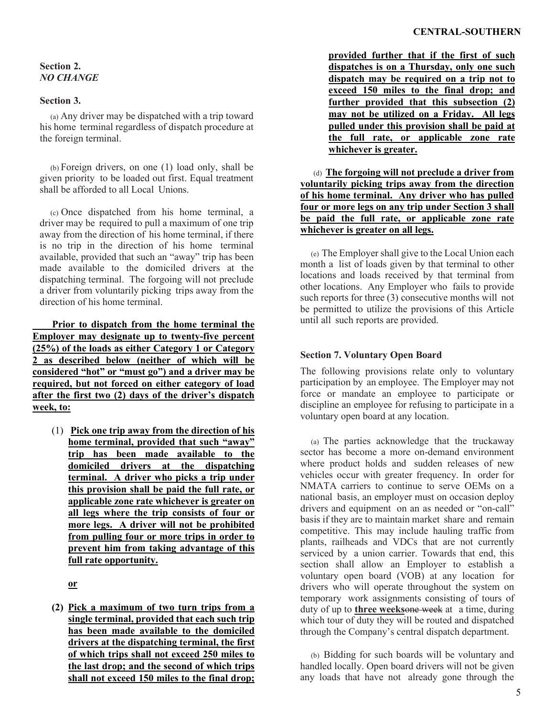# **Section 2.** *NO CHANGE*

# **Section 3.**

(a) Any driver may be dispatched with a trip toward his home terminal regardless of dispatch procedure at the foreign terminal.

(b) Foreign drivers, on one (1) load only, shall be given priority to be loaded out first. Equal treatment shall be afforded to all Local Unions.

(c) Once dispatched from his home terminal, a driver may be required to pull a maximum of one trip away from the direction of his home terminal, if there is no trip in the direction of his home terminal available, provided that such an "away" trip has been made available to the domiciled drivers at the dispatching terminal. The forgoing will not preclude a driver from voluntarily picking trips away from the direction of his home terminal.

**Prior to dispatch from the home terminal the Employer may designate up to twenty-five percent (25%) of the loads as either Category 1 or Category 2 as described below (neither of which will be considered "hot" or "must go") and a driver may be required, but not forced on either category of load after the first two (2) days of the driver's dispatch week, to:**

(1) **Pick one trip away from the direction of his home terminal, provided that such "away" trip has been made available to the domiciled drivers at the dispatching terminal. A driver who picks a trip under this provision shall be paid the full rate, or applicable zone rate whichever is greater on all legs where the trip consists of four or more legs. A driver will not be prohibited from pulling four or more trips in order to prevent him from taking advantage of this full rate opportunity.**

**or** 

**(2) Pick a maximum of two turn trips from a single terminal, provided that each such trip has been made available to the domiciled drivers at the dispatching terminal, the first of which trips shall not exceed 250 miles to the last drop; and the second of which trips shall not exceed 150 miles to the final drop;** 

**provided further that if the first of such dispatches is on a Thursday, only one such dispatch may be required on a trip not to exceed 150 miles to the final drop; and further provided that this subsection (2) may not be utilized on a Friday. All legs pulled under this provision shall be paid at the full rate, or applicable zone rate whichever is greater.**

(d) **The forgoing will not preclude a driver from voluntarily picking trips away from the direction of his home terminal. Any driver who has pulled four or more legs on any trip under Section 3 shall be paid the full rate, or applicable zone rate whichever is greater on all legs.**

(e) The Employer shall give to the Local Union each month a list of loads given by that terminal to other locations and loads received by that terminal from other locations. Any Employer who fails to provide such reports for three (3) consecutive months will not be permitted to utilize the provisions of this Article until all such reports are provided.

# **Section 7. Voluntary Open Board**

The following provisions relate only to voluntary participation by an employee. The Employer may not force or mandate an employee to participate or discipline an employee for refusing to participate in a voluntary open board at any location.

(a) The parties acknowledge that the truckaway sector has become a more on-demand environment where product holds and sudden releases of new vehicles occur with greater frequency. In order for NMATA carriers to continue to serve OEMs on a national basis, an employer must on occasion deploy drivers and equipment on an as needed or "on-call" basis if they are to maintain market share and remain competitive. This may include hauling traffic from plants, railheads and VDCs that are not currently serviced by a union carrier. Towards that end, this section shall allow an Employer to establish a voluntary open board (VOB) at any location for drivers who will operate throughout the system on temporary work assignments consisting of tours of duty of up to **three weeks**one week at a time, during which tour of duty they will be routed and dispatched through the Company's central dispatch department.

(b) Bidding for such boards will be voluntary and handled locally. Open board drivers will not be given any loads that have not already gone through the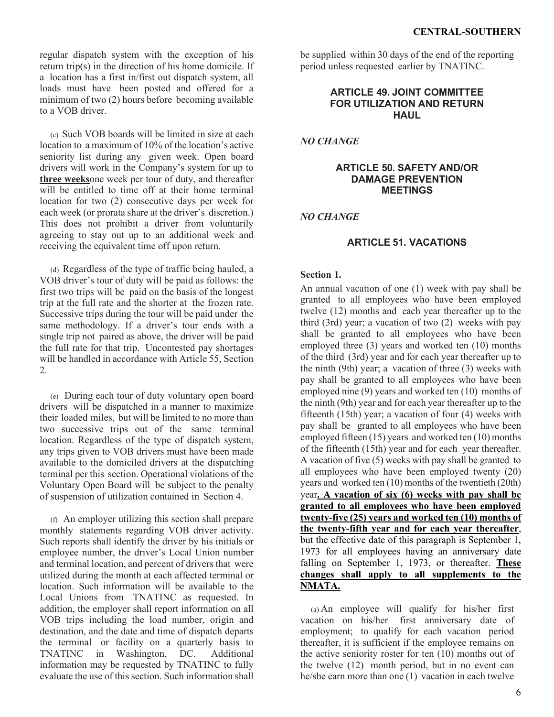regular dispatch system with the exception of his return trip(s) in the direction of his home domicile. If a location has a first in/first out dispatch system, all loads must have been posted and offered for a minimum of two (2) hours before becoming available to a VOB driver.

(c) Such VOB boards will be limited in size at each location to a maximum of 10% of the location's active seniority list during any given week. Open board drivers will work in the Company's system for up to **three weeks**one week per tour of duty, and thereafter will be entitled to time off at their home terminal location for two (2) consecutive days per week for each week (or prorata share at the driver's discretion.) This does not prohibit a driver from voluntarily agreeing to stay out up to an additional week and receiving the equivalent time off upon return.

(d) Regardless of the type of traffic being hauled, a VOB driver's tour of duty will be paid as follows: the first two trips will be paid on the basis of the longest trip at the full rate and the shorter at the frozen rate. Successive trips during the tour will be paid under the same methodology. If a driver's tour ends with a single trip not paired as above, the driver will be paid the full rate for that trip. Uncontested pay shortages will be handled in accordance with Article 55, Section 2.

(e) During each tour of duty voluntary open board drivers will be dispatched in a manner to maximize their loaded miles, but will be limited to no more than two successive trips out of the same terminal location. Regardless of the type of dispatch system, any trips given to VOB drivers must have been made available to the domiciled drivers at the dispatching terminal per this section. Operational violations of the Voluntary Open Board will be subject to the penalty of suspension of utilization contained in Section 4.

(f) An employer utilizing this section shall prepare monthly statements regarding VOB driver activity. Such reports shall identify the driver by his initials or employee number, the driver's Local Union number and terminal location, and percent of drivers that were utilized during the month at each affected terminal or location. Such information will be available to the Local Unions from TNATINC as requested. In addition, the employer shall report information on all VOB trips including the load number, origin and destination, and the date and time of dispatch departs the terminal or facility on a quarterly basis to<br>TNATINC in Washington, DC. Additional TNATINC in Washington, DC. information may be requested by TNATINC to fully evaluate the use of this section. Such information shall

be supplied within 30 days of the end of the reporting period unless requested earlier by TNATINC.

## **ARTICLE 49. JOINT COMMITTEE FOR UTILIZATION AND RETURN HAUL**

*NO CHANGE*

### **ARTICLE 50. SAFETY AND/OR DAMAGE PREVENTION MEETINGS**

*NO CHANGE*

# **ARTICLE 51. VACATIONS**

## **Section 1.**

An annual vacation of one (1) week with pay shall be granted to all employees who have been employed twelve (12) months and each year thereafter up to the third (3rd) year; a vacation of two (2) weeks with pay shall be granted to all employees who have been employed three (3) years and worked ten (10) months of the third (3rd) year and for each year thereafter up to the ninth (9th) year; a vacation of three (3) weeks with pay shall be granted to all employees who have been employed nine (9) years and worked ten (10) months of the ninth (9th) year and for each year thereafter up to the fifteenth (15th) year; a vacation of four (4) weeks with pay shall be granted to all employees who have been employed fifteen (15) years and worked ten (10) months of the fifteenth (15th) year and for each year thereafter. A vacation of five (5) weeks with pay shall be granted to all employees who have been employed twenty (20) years and worked ten (10) months of the twentieth (20th) year**. A vacation of six (6) weeks with pay shall be granted to all employees who have been employed twenty-five (25) years and worked ten (10) months of the twenty-fifth year and for each year thereafter**, but the effective date of this paragraph is September 1, 1973 for all employees having an anniversary date falling on September 1, 1973, or thereafter. **These changes shall apply to all supplements to the NMATA.**

(a) An employee will qualify for his/her first vacation on his/her first anniversary date of employment; to qualify for each vacation period thereafter, it is sufficient if the employee remains on the active seniority roster for ten (10) months out of the twelve (12) month period, but in no event can he/she earn more than one (1) vacation in each twelve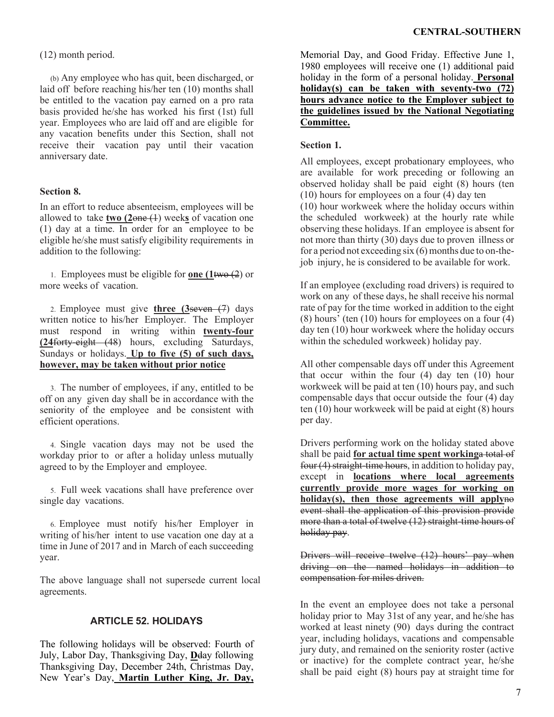(12) month period.

(b) Any employee who has quit, been discharged, or laid off before reaching his/her ten (10) months shall be entitled to the vacation pay earned on a pro rata basis provided he/she has worked his first (1st) full year. Employees who are laid off and are eligible for any vacation benefits under this Section, shall not receive their vacation pay until their vacation anniversary date.

# **Section 8.**

In an effort to reduce absenteeism, employees will be allowed to take **two (2**one (1) week**s** of vacation one (1) day at a time. In order for an employee to be eligible he/she must satisfy eligibility requirements in addition to the following:

1. Employees must be eligible for **one (1**two (2) or more weeks of vacation.

2. Employee must give **three (3**seven (7) days written notice to his/her Employer. The Employer must respond in writing within **twenty-four (24**forty-eight (48) hours, excluding Saturdays, Sundays or holidays. **Up to five (5) of such days, however, may be taken without prior notice**

3. The number of employees, if any, entitled to be off on any given day shall be in accordance with the seniority of the employee and be consistent with efficient operations.

4. Single vacation days may not be used the workday prior to or after a holiday unless mutually agreed to by the Employer and employee.

5. Full week vacations shall have preference over single day vacations.

6. Employee must notify his/her Employer in writing of his/her intent to use vacation one day at a time in June of 2017 and in March of each succeeding year.

The above language shall not supersede current local agreements.

## **ARTICLE 52. HOLIDAYS**

The following holidays will be observed: Fourth of July, Labor Day, Thanksgiving Day, **D**day following Thanksgiving Day, December 24th, Christmas Day, New Year's Day, **Martin Luther King, Jr. Day,**

Memorial Day, and Good Friday. Effective June 1, 1980 employees will receive one (1) additional paid holiday in the form of a personal holiday. **Personal holiday(s) can be taken with seventy-two (72) hours advance notice to the Employer subject to the guidelines issued by the National Negotiating Committee.**

## **Section 1.**

All employees, except probationary employees, who are available for work preceding or following an observed holiday shall be paid eight (8) hours (ten (10) hours for employees on a four (4) day ten (10) hour workweek where the holiday occurs within the scheduled workweek) at the hourly rate while observing these holidays. If an employee is absent for not more than thirty (30) days due to proven illness or for a period not exceeding six (6) months due to on-thejob injury, he is considered to be available for work.

If an employee (excluding road drivers) is required to work on any of these days, he shall receive his normal rate of pay for the time worked in addition to the eight (8) hours' (ten (10) hours for employees on a four (4) day ten (10) hour workweek where the holiday occurs within the scheduled workweek) holiday pay.

All other compensable days off under this Agreement that occur within the four  $(4)$  day ten  $(10)$  hour workweek will be paid at ten (10) hours pay, and such compensable days that occur outside the four (4) day ten (10) hour workweek will be paid at eight (8) hours per day.

Drivers performing work on the holiday stated above shall be paid **for actual time spent working**a total of four (4) straight-time hours, in addition to holiday pay, except in **locations where local agreements currently provide more wages for working on holiday(s), then those agreements will apply**no event shall the application of this provision provide more than a total of twelve (12) straight-time hours of holiday pay.

Drivers will receive twelve (12) hours' pay when driving on the named holidays in addition to compensation for miles driven.

In the event an employee does not take a personal holiday prior to May 31st of any year, and he/she has worked at least ninety (90) days during the contract year, including holidays, vacations and compensable jury duty, and remained on the seniority roster (active or inactive) for the complete contract year, he/she shall be paid eight (8) hours pay at straight time for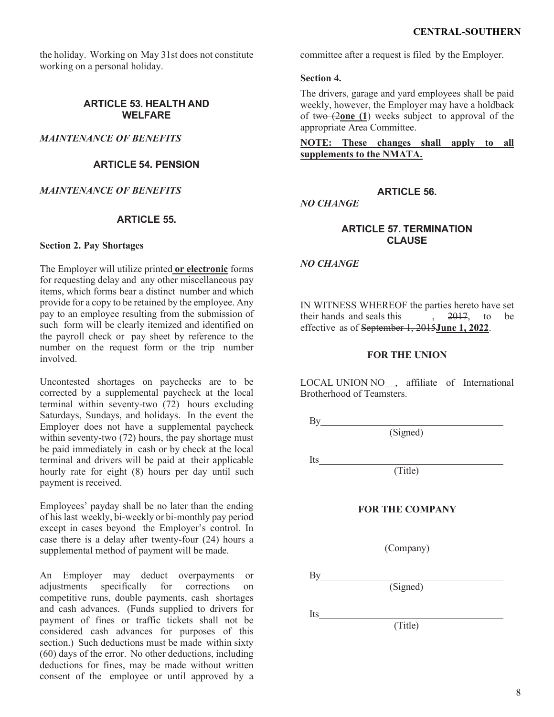the holiday. Working on May 31st does not constitute working on a personal holiday.

## **ARTICLE 53. HEALTH AND WELFARE**

*MAINTENANCE OF BENEFITS*

# **ARTICLE 54. PENSION**

## *MAINTENANCE OF BENEFITS*

## **ARTICLE 55.**

### **Section 2. Pay Shortages**

The Employer will utilize printed **or electronic** forms for requesting delay and any other miscellaneous pay items, which forms bear a distinct number and which provide for a copy to be retained by the employee. Any pay to an employee resulting from the submission of such form will be clearly itemized and identified on the payroll check or pay sheet by reference to the number on the request form or the trip number involved.

Uncontested shortages on paychecks are to be corrected by a supplemental paycheck at the local terminal within seventy-two (72) hours excluding Saturdays, Sundays, and holidays. In the event the Employer does not have a supplemental paycheck within seventy-two (72) hours, the pay shortage must be paid immediately in cash or by check at the local terminal and drivers will be paid at their applicable hourly rate for eight (8) hours per day until such payment is received.

Employees' payday shall be no later than the ending of his last weekly, bi-weekly or bi-monthly pay period except in cases beyond the Employer's control. In case there is a delay after twenty-four (24) hours a supplemental method of payment will be made.

An Employer may deduct overpayments or adjustments specifically for corrections on competitive runs, double payments, cash shortages and cash advances. (Funds supplied to drivers for payment of fines or traffic tickets shall not be considered cash advances for purposes of this section.) Such deductions must be made within sixty (60) days of the error. No other deductions, including deductions for fines, may be made without written consent of the employee or until approved by a committee after a request is filed by the Employer.

### **Section 4.**

The drivers, garage and yard employees shall be paid weekly, however, the Employer may have a holdback of two (2**one (1**) weeks subject to approval of the appropriate Area Committee.

**NOTE: These changes shall apply to all supplements to the NMATA.**

# **ARTICLE 56.**

*NO CHANGE*

# **ARTICLE 57. TERMINATION CLAUSE**

*NO CHANGE*

IN WITNESS WHEREOF the parties hereto have set their hands and seals this  $\frac{2017}{100}$ , to be effective as of September 1, 2015**June 1, 2022**.

### **FOR THE UNION**

LOCAL UNION NO<sub>,</sub> affiliate of International Brotherhood of Teamsters.

By

(Signed)

Its

(Title)

### **FOR THE COMPANY**

(Company)

By

(Signed)

Its

(Title)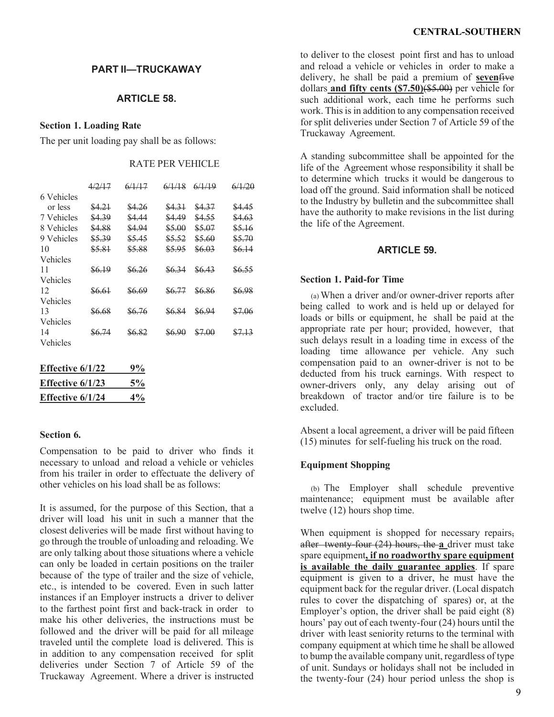# **PART II—TRUCKAWAY**

## **ARTICLE 58.**

#### **Section 1. Loading Rate**

The per unit loading pay shall be as follows:

## RATE PER VEHICLE

|        |        |        | 6/1/19 | 6/1/20            |
|--------|--------|--------|--------|-------------------|
|        |        |        |        |                   |
| \$4.21 | \$4.26 | \$4.31 | \$4.37 | \$4.45            |
| \$4.39 | \$4.44 | \$4.49 | \$4.55 | \$4.63            |
| \$4.88 | \$4.94 | \$5.00 | \$5.07 | \$5.16            |
| \$5.39 | \$5.45 | \$5.52 | \$5.60 | \$5.70            |
| \$5.81 | \$5.88 | 85.95  | \$6.03 | \$6.14            |
|        |        |        |        |                   |
| \$6.19 | 86.26  | 86.34  | \$6.43 | <del>86.55</del>  |
|        |        |        |        |                   |
| \$6.61 | 86.69  | 86.77  | \$6.86 | \$6.98            |
|        |        |        |        |                   |
| 86.68  | 86.76  | 86.84  | \$6.94 | \$7.06            |
|        |        |        |        |                   |
| 86.74  | S6.82  | \$6.90 | \$7.00 | <del>\$7.13</del> |
|        |        |        |        |                   |
|        |        |        |        |                   |

| Effective $6/1/22$ | 9%    |
|--------------------|-------|
| Effective $6/1/23$ | 5%    |
| Effective $6/1/24$ | $4\%$ |

### **Section 6.**

Compensation to be paid to driver who finds it necessary to unload and reload a vehicle or vehicles from his trailer in order to effectuate the delivery of other vehicles on his load shall be as follows:

It is assumed, for the purpose of this Section, that a driver will load his unit in such a manner that the closest deliveries will be made first without having to go through the trouble of unloading and reloading. We are only talking about those situations where a vehicle can only be loaded in certain positions on the trailer because of the type of trailer and the size of vehicle, etc., is intended to be covered. Even in such latter instances if an Employer instructs a driver to deliver to the farthest point first and back-track in order to make his other deliveries, the instructions must be followed and the driver will be paid for all mileage traveled until the complete load is delivered. This is in addition to any compensation received for split deliveries under Section 7 of Article 59 of the Truckaway Agreement. Where a driver is instructed

to deliver to the closest point first and has to unload and reload a vehicle or vehicles in order to make a delivery, he shall be paid a premium of **seven**five dollars **and fifty cents (\$7.50)**(\$5.00) per vehicle for such additional work, each time he performs such work. This is in addition to any compensation received for split deliveries under Section 7 of Article 59 of the Truckaway Agreement.

A standing subcommittee shall be appointed for the life of the Agreement whose responsibility it shall be to determine which trucks it would be dangerous to load off the ground. Said information shall be noticed to the Industry by bulletin and the subcommittee shall have the authority to make revisions in the list during the life of the Agreement.

# **ARTICLE 59.**

### **Section 1. Paid-for Time**

(a) When a driver and/or owner-driver reports after being called to work and is held up or delayed for loads or bills or equipment, he shall be paid at the appropriate rate per hour; provided, however, that such delays result in a loading time in excess of the loading time allowance per vehicle. Any such compensation paid to an owner-driver is not to be deducted from his truck earnings. With respect to owner-drivers only, any delay arising out of breakdown of tractor and/or tire failure is to be excluded.

Absent a local agreement, a driver will be paid fifteen (15) minutes for self-fueling his truck on the road.

## **Equipment Shopping**

(b) The Employer shall schedule preventive maintenance; equipment must be available after twelve (12) hours shop time.

When equipment is shopped for necessary repairs, after twenty-four (24) hours, the **a** driver must take spare equipment**, if no roadworthy spare equipment is available the daily guarantee applies**. If spare equipment is given to a driver, he must have the equipment back for the regular driver. (Local dispatch rules to cover the dispatching of spares) or, at the Employer's option, the driver shall be paid eight (8) hours' pay out of each twenty-four (24) hours until the driver with least seniority returns to the terminal with company equipment at which time he shall be allowed to bump the available company unit, regardless of type of unit. Sundays or holidays shall not be included in the twenty-four (24) hour period unless the shop is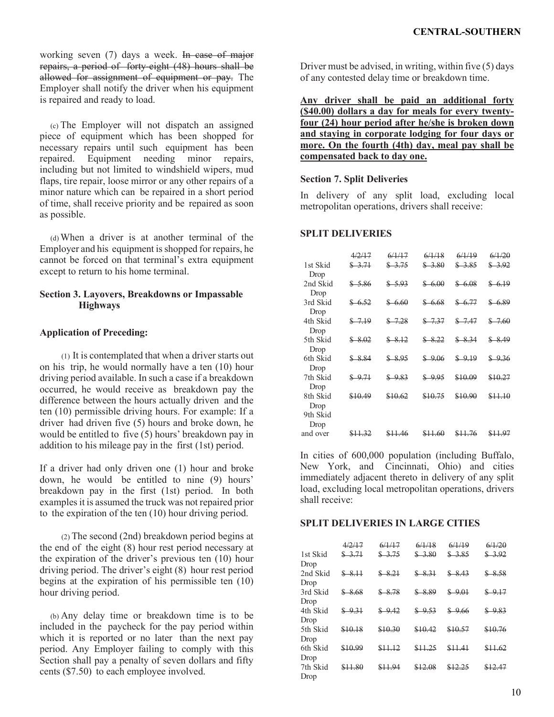working seven (7) days a week. In case of major repairs, a period of forty-eight (48) hours shall be allowed for assignment of equipment or pay. The Employer shall notify the driver when his equipment is repaired and ready to load.

(c) The Employer will not dispatch an assigned piece of equipment which has been shopped for necessary repairs until such equipment has been repaired. Equipment needing minor repairs, including but not limited to windshield wipers, mud flaps, tire repair, loose mirror or any other repairs of a minor nature which can be repaired in a short period of time, shall receive priority and be repaired as soon as possible.

(d)When a driver is at another terminal of the Employer and his equipment is shopped for repairs, he cannot be forced on that terminal's extra equipment except to return to his home terminal.

## **Section 3. Layovers, Breakdowns or Impassable Highways**

# **Application of Preceding:**

(1) It is contemplated that when a driver starts out on his trip, he would normally have a ten (10) hour driving period available. In such a case if a breakdown occurred, he would receive as breakdown pay the difference between the hours actually driven and the ten (10) permissible driving hours. For example: If a driver had driven five (5) hours and broke down, he would be entitled to five (5) hours' breakdown pay in addition to his mileage pay in the first (1st) period.

If a driver had only driven one (1) hour and broke down, he would be entitled to nine (9) hours' breakdown pay in the first (1st) period. In both examples it is assumed the truck was not repaired prior to the expiration of the ten (10) hour driving period.

(2) The second (2nd) breakdown period begins at the end of the eight (8) hour rest period necessary at the expiration of the driver's previous ten (10) hour driving period. The driver's eight (8) hour rest period begins at the expiration of his permissible ten (10) hour driving period.

(b) Any delay time or breakdown time is to be included in the paycheck for the pay period within which it is reported or no later than the next pay period. Any Employer failing to comply with this Section shall pay a penalty of seven dollars and fifty cents (\$7.50) to each employee involved.

Driver must be advised, in writing, within five (5) days of any contested delay time or breakdown time.

**Any driver shall be paid an additional forty (\$40.00) dollars a day for meals for every twentyfour (24) hour period after he/she is broken down and staying in corporate lodging for four days or more. On the fourth (4th) day, meal pay shall be compensated back to day one.**

## **Section 7. Split Deliveries**

In delivery of any split load, excluding local metropolitan operations, drivers shall receive:

## **SPLIT DELIVERIES**

|                  | 4/2/17   | 6/1/17  | 6/1/18      | 6/1/19           | 6/1/20             |
|------------------|----------|---------|-------------|------------------|--------------------|
| 1st Skid<br>Drop | \$3.71   | \$3.75  | \$3.80      | \$3.85           | \$3.92             |
| 2nd Skid         | \$5.86   | \$5.93  | \$6.00      | \$6.08           | \$6.19             |
| Drop<br>3rd Skid | \$6.52   | \$6.60  | \$<br>-6.68 | \$6.77           | \$ 6.89            |
| Drop<br>4th Skid | $$-7.19$ | \$7.28  | \$7.37      | \$7.47           | \$ 7.60            |
| Drop<br>5th Skid | \$8.02   | \$8,12  | \$8,22      | \$8.34           | \$8.49             |
| Drop<br>6th Skid | \$884    | \$8.95  | \$<br>-9.06 | \$<br><u>مبو</u> | \$<br>-9.36        |
| Drop<br>7th Skid | \$9.71   | \$983   | ≰<br>9.95   | \$10.09          | \$10.27            |
| Drop<br>8th Skid | \$10.49  | \$10.62 | \$10.75     | \$10.90          | <del>\$11.10</del> |
| Drop<br>9th Skid |          |         |             |                  |                    |
| Drop             |          |         |             |                  |                    |
| and over         |          | 46      |             | -76              |                    |

In cities of 600,000 population (including Buffalo, New York, and Cincinnati, Ohio) and cities immediately adjacent thereto in delivery of any split load, excluding local metropolitan operations, drivers shall receive:

## **SPLIT DELIVERIES IN LARGE CITIES**

|          | 4/2/17  | 6/1/17  | 6/1/18  | 6/1/19  | 6/1/20  |
|----------|---------|---------|---------|---------|---------|
| 1st Skid | \$3.71  | \$3.75  | \$3.80  | \$3.85  | \$3.92  |
| Drop     |         |         |         |         |         |
| 2nd Skid | \$8,11  | \$8.21  | \$8.31  | \$8,43  | \$8.58  |
| Drop     |         |         |         |         |         |
| 3rd Skid | \$8.68  | \$8.78  | \$8.89  | \$9.01  | \$9,17  |
| Drop     |         |         |         |         |         |
| 4th Skid | \$9.31  | \$9.42  | \$9.53  | \$9,66  | \$9.83  |
| Drop     |         |         |         |         |         |
| 5th Skid | \$10.18 | \$10.30 | \$10.42 | \$10.57 | \$10.76 |
| Drop     |         |         |         |         |         |
| 6th Skid | \$10.99 | \$11.12 | \$11.25 | \$11.41 | \$11.62 |
| Drop     |         |         |         |         |         |
| 7th Skid | \$11.80 | \$11.94 | \$12.08 | \$12.25 | \$12.47 |
| Drop     |         |         |         |         |         |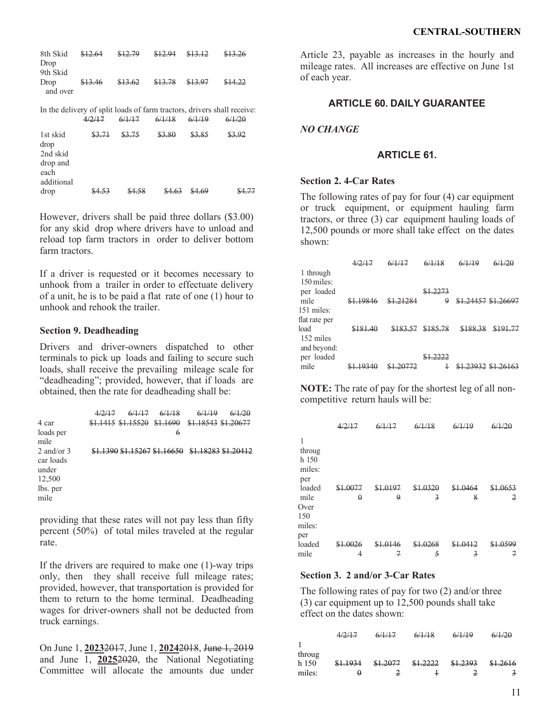| 8th Skid | \$12.64 | \$12.79 | \$12.94 | \$13.12 | \$13.26 |
|----------|---------|---------|---------|---------|---------|
| Drop     |         |         |         |         |         |
| 9th Skid |         |         |         |         |         |
| Drop     | \$13.46 | \$13.62 | \$13.78 | \$13.97 | \$14.22 |
| and over |         |         |         |         |         |

In the delivery of split loads of farm tractors, drivers shall receive:<br> $\frac{4}{2}$ (117  $\frac{6}{11}$ )  $\frac{6}{11}$ 

|                                                                | \$3.71  | \$3.75   | \$3.80 |        |        |
|----------------------------------------------------------------|---------|----------|--------|--------|--------|
| 1st skid<br>drop<br>2nd skid<br>drop and<br>each<br>additional |         |          |        | \$3.85 | \$3.92 |
| drop                                                           | $QA$ 52 | $Q_4$ 58 |        | CA 60  |        |

However, drivers shall be paid three dollars (\$3.00) for any skid drop where drivers have to unload and reload top farm tractors in order to deliver bottom farm tractors.

If a driver is requested or it becomes necessary to unhook from a trailer in order to effectuate delivery of a unit, he is to be paid a flat rate of one (1) hour to unhook and rehook the trailer.

### **Section 9. Deadheading**

Drivers and driver-owners dispatched to other terminals to pick up loads and failing to secure such loads, shall receive the prevailing mileage scale for "deadheading"; provided, however, that if loads are obtained, then the rate for deadheading shall be:

|                                                                  | 4/2/1 | 6/1/1                    |          |                     |  |
|------------------------------------------------------------------|-------|--------------------------|----------|---------------------|--|
| 4 car                                                            |       | \$1,1415 \$1,15520       | \$1.1690 | \$1.18543 \$1.20677 |  |
| loads per<br>mile                                                |       |                          | 6        |                     |  |
| 2 and/or $3$<br>car loads<br>under<br>12,500<br>lbs. per<br>mile |       | 1390 \$1.15267 \$1.16650 |          | ው 1                 |  |

providing that these rates will not pay less than fifty percent (50%) of total miles traveled at the regular rate.

If the drivers are required to make one (1)-way trips only, then they shall receive full mileage rates; provided, however, that transportation is provided for them to return to the home terminal. Deadheading wages for driver-owners shall not be deducted from truck earnings.

On June 1, **2023**2017, June 1, **2024**2018, June 1, 2019 and June  $\overline{1, 20252020}$ , the National Negotiating Committee will allocate the amounts due under

Article 23, payable as increases in the hourly and mileage rates. All increases are effective on June 1st of each year.

## **ARTICLE 60. DAILY GUARANTEE**

## *NO CHANGE*

## **ARTICLE 61.**

## **Section 2. 4-Car Rates**

The following rates of pay for four (4) car equipment or truck equipment, or equipment hauling farm tractors, or three (3) car equipment hauling loads of 12,500 pounds or more shall take effect on the dates shown:

| 1 through     |       |       |      |                          |
|---------------|-------|-------|------|--------------------------|
| $150$ miles:  |       |       |      |                          |
| per loaded    |       |       | 2272 |                          |
| mile          | 10016 | 21284 | 9    | <u>81 24457 81 26607</u> |
| 151 miles:    |       |       |      |                          |
| flat rate per |       |       |      |                          |
| load          |       |       |      |                          |
| 152 miles     |       |       |      |                          |
| and beyond:   |       |       |      |                          |
| per loaded    |       |       |      |                          |
| mile          |       |       |      |                          |

**NOTE:** The rate of pay for the shortest leg of all noncompetitive return hauls will be:

|                                                                                  |             | 6/1/17           | 6/1/19                              | 6/1/10      |             |
|----------------------------------------------------------------------------------|-------------|------------------|-------------------------------------|-------------|-------------|
| 1<br>throug<br>h 150<br>miles:<br>per<br>loaded<br>mile<br>Over<br>150<br>miles: | 1.0077<br>Q | 0107<br>9        | <del>1.0320</del><br>$\overline{3}$ | 1.0464<br>8 | +.0653<br>2 |
| per<br>loaded<br>mile                                                            | ハハつん<br>4   | $^{\cap}$ 1<br>7 | 0268<br>5                           | 3           | 0500<br>7   |

## **Section 3. 2 and/or 3-Car Rates**

The following rates of pay for two (2) and/or three (3) car equipment up to 12,500 pounds shall take effect on the dates shown:

|        | 1217<br>$\overline{1}$ | 6/1/17<br>$\cdots$ | 6/1/18<br><del>0/1/10</del> | 6/1/19   | 6/1/20   |
|--------|------------------------|--------------------|-----------------------------|----------|----------|
|        |                        |                    |                             |          |          |
| throug |                        |                    |                             |          |          |
| h 150  | \$1.1934               | \$1,2077           | <del>\$1.2222</del>         | \$1,2393 | \$1.2616 |
| miles: | 0                      |                    |                             |          |          |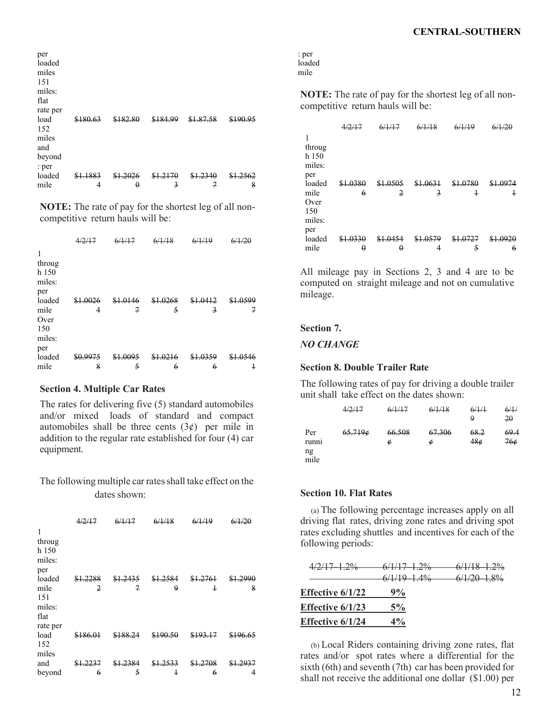| per<br>loaded<br>miles<br>151<br>miles:<br>flat<br>rate per |          |                    |               |        |            |
|-------------------------------------------------------------|----------|--------------------|---------------|--------|------------|
| load                                                        | \$180.63 | <u> የ 1 ዩን ዩስ</u>  | \$184.00      | .87.58 | 1 $\Omega$ |
| 152                                                         |          |                    |               |        |            |
| miles                                                       |          |                    |               |        |            |
| and<br>beyond                                               |          |                    |               |        |            |
| : per                                                       |          |                    |               |        |            |
| loaded                                                      | 1.1883   | <del>81.2026</del> | <u>\$1.21</u> |        |            |
| mile                                                        | 4        | $\theta$           | 3             |        | 8          |

**NOTE:** The rate of pay for the shortest leg of all noncompetitive return hauls will be:

| 1<br>throug<br>h 150<br>miles:<br>per          |               |                        |                       |                            |           |
|------------------------------------------------|---------------|------------------------|-----------------------|----------------------------|-----------|
| loaded<br>mile<br>Over<br>150<br>miles:<br>per | 1.0026<br>4   | \$1.0146<br>7          | \$1.0268<br>5         | \$1.0412<br>$\overline{3}$ | 0500<br>7 |
| loaded<br>mile                                 | \$0.9975<br>8 | <del>1.0095</del><br>5 | <del>1.021</del><br>6 | <del>\$1.0359</del><br>6   | 4         |
|                                                |               |                        |                       |                            |           |

### **Section 4. Multiple Car Rates**

The rates for delivering five (5) standard automobiles and/or mixed loads of standard and compact automobiles shall be three cents  $(3¢)$  per mile in addition to the regular rate established for four (4) car equipment.

The following multiple car rates shall take effect on the dates shown:

|                                                     | 4/2/17                       | 6/1/17      | 6/1/18        | 6/1/19                 | 6/1/20        |
|-----------------------------------------------------|------------------------------|-------------|---------------|------------------------|---------------|
| 1<br>throug<br>h 150<br>miles:<br>per               |                              |             |               |                        |               |
| loaded<br>mile<br>151<br>miles:<br>flat<br>rate per | 1.2288<br>$\overline{2}$     | 1.2435<br>7 | \$1,2584<br>9 | 1.2761<br>$\ddagger$   | \$1,2990<br>8 |
| load<br>152<br>miles                                | \$186.01                     | \$188.24    | \$190.50      |                        | \$196.65      |
| and<br>beyond                                       | <del>\$1.223</del><br>7<br>6 | 2384<br>5   | 4             | <del>1.2708</del><br>6 | 4             |

| : per  |  |
|--------|--|
| loaded |  |
| mile   |  |

**NOTE:** The rate of pay for the shortest leg of all noncompetitive return hauls will be:

|                                                |               |               | 6/1/18      | $/1$ Q    |           |
|------------------------------------------------|---------------|---------------|-------------|-----------|-----------|
| 1<br>throug<br>h 150<br>miles:<br>per          |               |               |             |           |           |
| loaded<br>mile<br>Over<br>150<br>miles:<br>per | \$1.0380<br>6 | \$1.0505<br>2 | 1.0631<br>3 | 0780<br>4 | 0074<br>4 |
| loaded                                         | .0330         | \$1.04        | \$1.0579    |           |           |
| mile                                           | Q             | 0             |             | 5         | 6         |

All mileage pay in Sections 2, 3 and 4 are to be computed on straight mileage and not on cumulative mileage.

## **Section 7.**

*NO CHANGE*

#### **Section 8. Double Trailer Rate**

The following rates of pay for driving a double trailer unit shall take effect on the dates shown:

|                            | 4/2/17  | 6/1/17      | 6/1/18      | 6/1/1<br>9  | 6/1/<br>20  |
|----------------------------|---------|-------------|-------------|-------------|-------------|
| Per<br>runni<br>ng<br>mile | 65.7196 | 66.508<br>¢ | 67.306<br>¢ | 68.2<br>48é | 69.4<br>76¢ |

### **Section 10. Flat Rates**

(a) The following percentage increases apply on all driving flat rates, driving zone rates and driving spot rates excluding shuttles and incentives for each of the following periods:

| 4/2/17-1.2%             | $6/1/17 - 1.2\%$ | $6/1/18 - 1.2\%$ |
|-------------------------|------------------|------------------|
|                         | $6/1/19 - 1.4\%$ | $6/1/20$ 1.8%    |
| <b>Effective 6/1/22</b> | 9%               |                  |
| <b>Effective 6/1/23</b> | 5%               |                  |
| <b>Effective 6/1/24</b> | $4\%$            |                  |
|                         |                  |                  |

(b) Local Riders containing driving zone rates, flat rates and/or spot rates where a differential for the sixth (6th) and seventh (7th) car has been provided for shall not receive the additional one dollar (\$1.00) per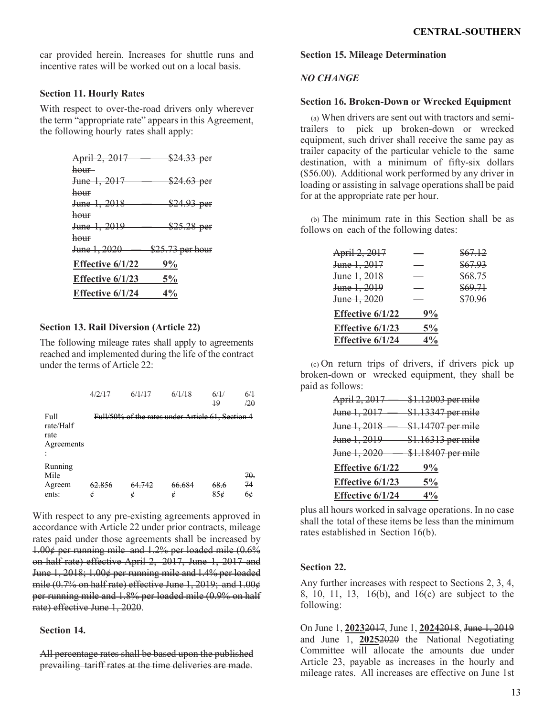car provided herein. Increases for shuttle runs and incentive rates will be worked out on a local basis.

### **Section 11. Hourly Rates**

With respect to over-the-road drivers only wherever the term "appropriate rate" appears in this Agreement, the following hourly rates shall apply:

| April 2, 2017    | $$24.33$ per     |
|------------------|------------------|
| hour-            |                  |
| June 1, 2017     | \$24.63 per      |
| hour             |                  |
| June 1, 2018     | $$24.93$ per     |
| hour             |                  |
| June 1, 2019     | $$25.28$ per     |
| hour             |                  |
| June 1, 2020     | \$25.73 per hour |
| Effective 6/1/22 | 9%               |
| Effective 6/1/23 | 5%               |
| Effective 6/1/24 | $4\%$            |
|                  |                  |

### **Section 13. Rail Diversion (Article 22)**

The following mileage rates shall apply to agreements reached and implemented during the life of the contract under the terms of Article 22:

|                                         |             | 6/1/17                                            |             | 6/1/<br>$\overline{19}$ | 6/1<br>/20       |
|-----------------------------------------|-------------|---------------------------------------------------|-------------|-------------------------|------------------|
| Full<br>rate/Half<br>rate<br>Agreements |             | Full/50% of the rates under Article 61, Section 4 |             |                         |                  |
| Running<br>Mile<br>Agreem<br>ents:      | 62.856<br>é | 64.742<br>é                                       | 66.684<br>¢ | 68.6                    | -70.<br>74<br>6¢ |

With respect to any pre-existing agreements approved in accordance with Article 22 under prior contracts, mileage rates paid under those agreements shall be increased by 1.00¢ per running mile and 1.2% per loaded mile (0.6% on half rate) effective April 2, 2017, June 1, 2017 and June 1, 2018; 1.00¢ per running mile and 1.4% per loaded mile (0.7% on half rate) effective June 1, 2019; and 1.00¢ per running mile and 1.8% per loaded mile (0.9% on half rate) effective June 1, 2020.

## **Section 14.**

All percentage rates shall be based upon the published prevailing tariff rates at the time deliveries are made.

# **Section 15. Mileage Determination**

# *NO CHANGE*

# **Section 16. Broken-Down or Wrecked Equipment**

(a) When drivers are sent out with tractors and semitrailers to pick up broken-down or wrecked equipment, such driver shall receive the same pay as trailer capacity of the particular vehicle to the same destination, with a minimum of fifty-six dollars (\$56.00). Additional work performed by any driver in loading or assisting in salvage operations shall be paid for at the appropriate rate per hour.

(b) The minimum rate in this Section shall be as follows on each of the following dates:

| April 2, 2017           |       | \$67.12 |
|-------------------------|-------|---------|
| June 1, 2017            |       | \$67.93 |
| June 1, 2018            |       | \$68.75 |
| June 1, 2019            |       | \$69.71 |
| <del>June 1, 2020</del> |       | \$70.96 |
| Effective 6/1/22        | 9%    |         |
| Effective 6/1/23        | $5\%$ |         |
| Effective 6/1/24        | $4\%$ |         |

(c) On return trips of drivers, if drivers pick up broken-down or wrecked equipment, they shall be paid as follows:

| April 2, 2017    | \$1.12003 per mile |
|------------------|--------------------|
| June 1, 2017     | \$1.13347 per mile |
| June 1, 2018     | \$1.14707 per mile |
| June 1, 2019     | \$1.16313 per mile |
| June 1, 2020     | \$1.18407 per mile |
| Effective 6/1/22 | 9%                 |
| Effective 6/1/23 | $5\%$              |
| Effective 6/1/24 | $4\%$              |

plus all hours worked in salvage operations. In no case shall the total of these items be less than the minimum rates established in Section 16(b).

### **Section 22.**

Any further increases with respect to Sections 2, 3, 4, 8, 10, 11, 13, 16(b), and 16(c) are subject to the following:

On June 1, **2023**2017, June 1, **2024**2018, June 1, 2019 and June 1, **2025**2020 the National Negotiating Committee will allocate the amounts due under Article 23, payable as increases in the hourly and mileage rates. All increases are effective on June 1st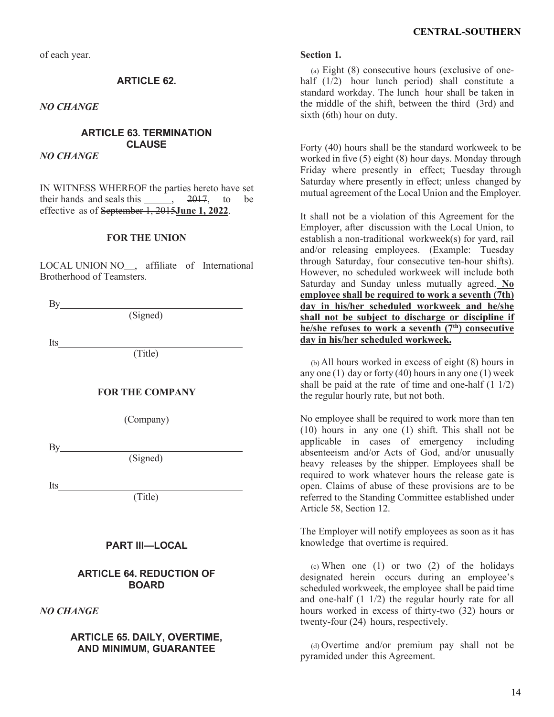of each year.

# **ARTICLE 62.**

*NO CHANGE*

# **ARTICLE 63. TERMINATION CLAUSE**

*NO CHANGE*

IN WITNESS WHEREOF the parties hereto have set their hands and seals this  $\overline{) \cdot 2017}$ , to be effective as of September 1, 2015**June 1, 2022**.

### **FOR THE UNION**

LOCAL UNION NO , affiliate of International Brotherhood of Teamsters.

By

(Signed)

Its

(Title)

## **FOR THE COMPANY**

(Company)

By extension of the set of the set of the set of the set of the set of the set of the set of the set of the set of the set of the set of the set of the set of the set of the set of the set of the set of the set of the set

(Signed)

Its

(Title)

# **PART III—LOCAL**

## **ARTICLE 64. REDUCTION OF BOARD**

## *NO CHANGE*

## **ARTICLE 65. DAILY, OVERTIME, AND MINIMUM, GUARANTEE**

#### **Section 1.**

(a) Eight (8) consecutive hours (exclusive of onehalf (1/2) hour lunch period) shall constitute a standard workday. The lunch hour shall be taken in the middle of the shift, between the third (3rd) and sixth (6th) hour on duty.

Forty (40) hours shall be the standard workweek to be worked in five (5) eight (8) hour days. Monday through Friday where presently in effect; Tuesday through Saturday where presently in effect; unless changed by mutual agreement of the Local Union and the Employer.

It shall not be a violation of this Agreement for the Employer, after discussion with the Local Union, to establish a non-traditional workweek(s) for yard, rail and/or releasing employees. (Example: Tuesday through Saturday, four consecutive ten-hour shifts). However, no scheduled workweek will include both Saturday and Sunday unless mutually agreed. **No employee shall be required to work a seventh (7th) day in his/her scheduled workweek and he/she shall not be subject to discharge or discipline if he/she refuses to work a seventh (7th) consecutive day in his/her scheduled workweek.**

(b) All hours worked in excess of eight (8) hours in any one (1) day or forty (40) hours in any one (1) week shall be paid at the rate of time and one-half  $(1 1/2)$ the regular hourly rate, but not both.

No employee shall be required to work more than ten (10) hours in any one (1) shift. This shall not be applicable in cases of emergency including absenteeism and/or Acts of God, and/or unusually heavy releases by the shipper. Employees shall be required to work whatever hours the release gate is open. Claims of abuse of these provisions are to be referred to the Standing Committee established under Article 58, Section 12.

The Employer will notify employees as soon as it has knowledge that overtime is required.

(c) When one (1) or two (2) of the holidays designated herein occurs during an employee's scheduled workweek, the employee shall be paid time and one-half (1 1/2) the regular hourly rate for all hours worked in excess of thirty-two (32) hours or twenty-four (24) hours, respectively.

(d) Overtime and/or premium pay shall not be pyramided under this Agreement.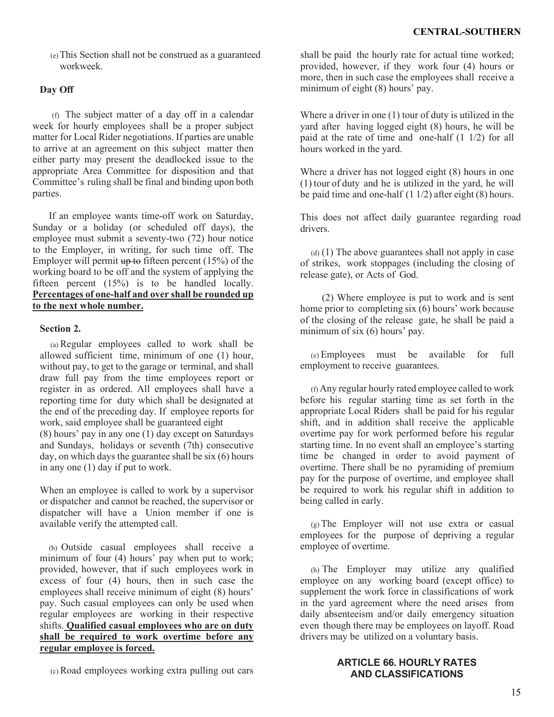(e)This Section shall not be construed as a guaranteed workweek.

# **Day Off**

(f) The subject matter of a day off in a calendar week for hourly employees shall be a proper subject matter for Local Rider negotiations. If parties are unable to arrive at an agreement on this subject matter then either party may present the deadlocked issue to the appropriate Area Committee for disposition and that Committee's ruling shall be final and binding upon both parties.

If an employee wants time-off work on Saturday, Sunday or a holiday (or scheduled off days), the employee must submit a seventy-two (72) hour notice to the Employer, in writing, for such time off. The Employer will permit  $\frac{15\%}{15\%}$  of the working board to be off and the system of applying the fifteen percent (15%) is to be handled locally. **Percentages of one-half and over shall be rounded up to the next whole number.**

# **Section 2.**

(a) Regular employees called to work shall be allowed sufficient time, minimum of one (1) hour, without pay, to get to the garage or terminal, and shall draw full pay from the time employees report or register in as ordered. All employees shall have a reporting time for duty which shall be designated at the end of the preceding day. If employee reports for work, said employee shall be guaranteed eight (8) hours' pay in any one (1) day except on Saturdays and Sundays, holidays or seventh (7th) consecutive day, on which days the guarantee shall be six (6) hours in any one (1) day if put to work.

When an employee is called to work by a supervisor or dispatcher and cannot be reached, the supervisor or dispatcher will have a Union member if one is available verify the attempted call.

(b) Outside casual employees shall receive a minimum of four (4) hours' pay when put to work; provided, however, that if such employees work in excess of four (4) hours, then in such case the employees shall receive minimum of eight (8) hours' pay. Such casual employees can only be used when regular employees are working in their respective shifts. **Qualified casual employees who are on duty shall be required to work overtime before any regular employee is forced.**

shall be paid the hourly rate for actual time worked; provided, however, if they work four (4) hours or more, then in such case the employees shall receive a minimum of eight (8) hours' pay.

Where a driver in one (1) tour of duty is utilized in the yard after having logged eight (8) hours, he will be paid at the rate of time and one-half (1 1/2) for all hours worked in the yard.

Where a driver has not logged eight (8) hours in one (1) tour of duty and he is utilized in the yard, he will be paid time and one-half (1 1/2) after eight (8) hours.

This does not affect daily guarantee regarding road drivers.

 $(d)$  (1) The above guarantees shall not apply in case of strikes, work stoppages (including the closing of release gate), or Acts of God.

(2) Where employee is put to work and is sent home prior to completing  $s$ ix  $(6)$  hours' work because of the closing of the release gate, he shall be paid a minimum of six (6) hours' pay.

(e) Employees must be available for full employment to receive guarantees.

(f) Any regular hourly rated employee called to work before his regular starting time as set forth in the appropriate Local Riders shall be paid for his regular shift, and in addition shall receive the applicable overtime pay for work performed before his regular starting time. In no event shall an employee's starting time be changed in order to avoid payment of overtime. There shall be no pyramiding of premium pay for the purpose of overtime, and employee shall be required to work his regular shift in addition to being called in early.

(g) The Employer will not use extra or casual employees for the purpose of depriving a regular employee of overtime.

(h) The Employer may utilize any qualified employee on any working board (except office) to supplement the work force in classifications of work in the yard agreement where the need arises from daily absenteeism and/or daily emergency situation even though there may be employees on layoff. Road drivers may be utilized on a voluntary basis.

### **ARTICLE 66. HOURLY RATES AND CLASSIFICATIONS**

(c) Road employees working extra pulling out cars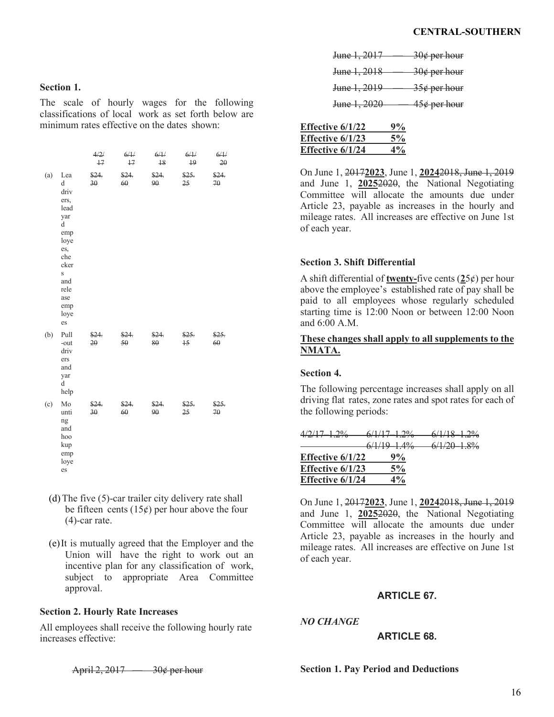### **Section 1.**

The scale of hourly wages for the following classifications of local work as set forth below are minimum rates effective on the dates shown:

|     |                                                                                                                                             | 4/2/<br>17  | 6/1/<br>$+7$    | 6/1/<br>18  | 6/1/<br>$\overline{19}$ | 6/1/<br>20  |
|-----|---------------------------------------------------------------------------------------------------------------------------------------------|-------------|-----------------|-------------|-------------------------|-------------|
| (a) | Lea<br>d<br>driv<br>ers,<br>lead<br>yar<br>d<br>emp<br>loye<br>es,<br>che<br>cker<br>$\mathbf S$<br>and<br>rele<br>ase<br>emp<br>loye<br>es | \$24.<br>30 | \$24.<br>60     | \$24.<br>90 | \$25.<br>25             | \$24.<br>70 |
| (b) | Pull<br>-out<br>driv<br>ers<br>and<br>yar<br>d<br>help                                                                                      | \$24.<br>20 | \$24.<br>$50 -$ | \$24.<br>80 | \$25.<br>15             | \$25.<br>60 |
| (c) | Mo<br>unti<br>ng<br>and<br>hoo<br>kup<br>emp<br>loye<br>es                                                                                  | \$24.<br>30 | \$24.<br>60     | \$24.<br>90 | \$25.<br>25             | \$25.<br>70 |

- (d) The five (5)-car trailer city delivery rate shall be fifteen cents  $(15¢)$  per hour above the four (4)-car rate.
- (e)It is mutually agreed that the Employer and the Union will have the right to work out an incentive plan for any classification of work, subject to appropriate Area Committee approval.

### **Section 2. Hourly Rate Increases**

All employees shall receive the following hourly rate increases effective:

April 2, 2017 — 30¢ per hour

| June 1, 2017 | <del>30¢ per hour</del> |
|--------------|-------------------------|
| June 1, 2018 | <del>30¢ per hour</del> |
| June 1, 2019 | <del>35¢ per hour</del> |
| June 1, 2020 | 45¢ per hour            |

| Effective 6/1/22        | 9%    |
|-------------------------|-------|
| <b>Effective 6/1/23</b> | 5%    |
| Effective 6/1/24        | $4\%$ |

On June 1, 2017**2023**, June 1, **2024**2018, June 1, 2019 and June 1, **2025**2020, the National Negotiating Committee will allocate the amounts due under Article 23, payable as increases in the hourly and mileage rates. All increases are effective on June 1st of each year.

## **Section 3. Shift Differential**

A shift differential of **twenty-**five cents (**2**5¢) per hour above the employee's established rate of pay shall be paid to all employees whose regularly scheduled starting time is 12:00 Noon or between 12:00 Noon and 6:00 A.M.

## **These changes shall apply to all supplements to the NMATA.**

## **Section 4.**

The following percentage increases shall apply on all driving flat rates, zone rates and spot rates for each of the following periods:

| $4/2/17$ $1.2\%$   | <del>6/1/17 1.2%</del> | $6/1/18$ $1.2\%$ |  |
|--------------------|------------------------|------------------|--|
|                    | $6/1/19 - 1.4\%$       | $6/1/20$ 1.8%    |  |
| Effective $6/1/22$ | 9%                     |                  |  |
| Effective $6/1/23$ | 5%                     |                  |  |
| Effective $6/1/24$ | $4\%$                  |                  |  |

On June 1, 2017**2023**, June 1, **2024**2018, June 1, 2019 and June 1, **2025**2020, the National Negotiating Committee will allocate the amounts due under Article 23, payable as increases in the hourly and mileage rates. All increases are effective on June 1st of each year.

# **ARTICLE 67.**

*NO CHANGE*

## **ARTICLE 68.**

**Section 1. Pay Period and Deductions**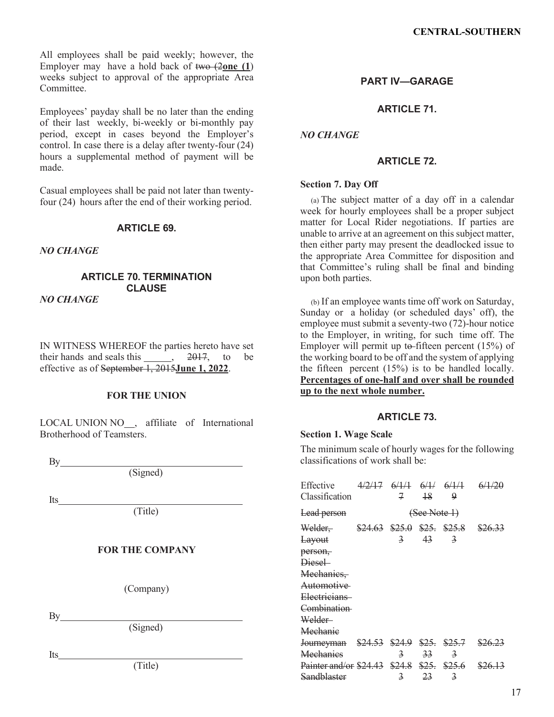All employees shall be paid weekly; however, the Employer may have a hold back of two (2**one (1**) weeks subject to approval of the appropriate Area Committee.

Employees' payday shall be no later than the ending of their last weekly, bi-weekly or bi-monthly pay period, except in cases beyond the Employer's control. In case there is a delay after twenty-four (24) hours a supplemental method of payment will be made.

Casual employees shall be paid not later than twentyfour (24) hours after the end of their working period.

## **ARTICLE 69.**

### *NO CHANGE*

#### **ARTICLE 70. TERMINATION CLAUSE** *NO CHANGE*

IN WITNESS WHEREOF the parties hereto have set their hands and seals this  $\frac{2017}{100}$ , to be effective as of September 1, 2015**June 1, 2022**.

## **FOR THE UNION**

LOCAL UNION NO<sub>,</sub> affiliate of International Brotherhood of Teamsters.

By

(Signed)

Its

(Title)

### **FOR THE COMPANY**

(Company)

By

(Signed)

Its

(Title)

# **PART IV—GARAGE**

**ARTICLE 71.**

*NO CHANGE*

### **ARTICLE 72.**

#### **Section 7. Day Off**

(a) The subject matter of a day off in a calendar week for hourly employees shall be a proper subject matter for Local Rider negotiations. If parties are unable to arrive at an agreement on this subject matter, then either party may present the deadlocked issue to the appropriate Area Committee for disposition and that Committee's ruling shall be final and binding upon both parties.

(b) If an employee wants time off work on Saturday, Sunday or a holiday (or scheduled days' off), the employee must submit a seventy-two (72)-hour notice to the Employer, in writing, for such time off. The Employer will permit up to fifteen percent  $(15%)$  of the working board to be off and the system of applying the fifteen percent (15%) is to be handled locally. **Percentages of one-half and over shall be rounded up to the next whole number.**

### **ARTICLE 73.**

#### **Section 1. Wage Scale**

The minimum scale of hourly wages for the following classifications of work shall be:

Effective Classification 4/2/17 6/1/1 6/1/ 6/1/1 7 18  $\mathbf{Q}$ 6/1/20 Lead person (See Note 1) Welder, Layout person, Diesel Mechanics, Automotive Electricians Combination Welder **Mechanic** \$24.63 \$25.0 \$25. \$25.8 3 43 3 \$26.33 Journeyman \$24.53 \$24.9 \$25. \$25.7 **Mechanics** 3 33 3 \$26.23 Painter and/or \$24.43 \$24.8 \$25. \$25.6 **Sandblaster** 3 23 3 \$26.13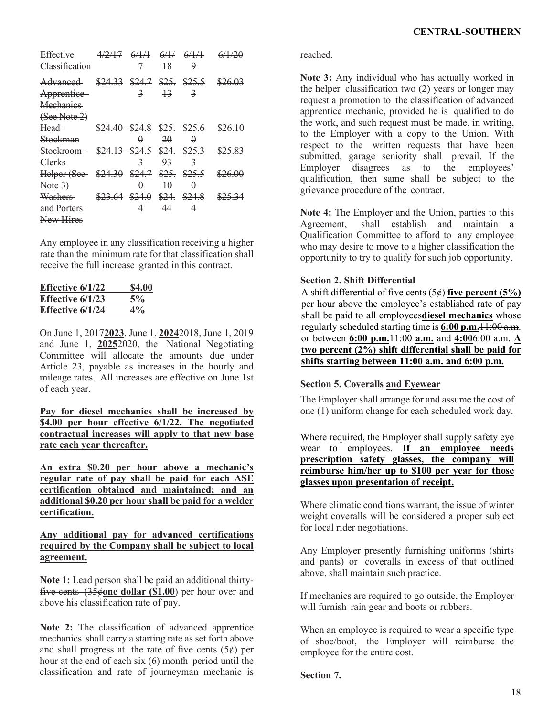| Effective<br>Classification                                    | $4/2/17$ $6/1/1$ $6/1/1$ $6/1/1$ | 7                       | $\frac{18}{2}$  | 9                       |                                          |
|----------------------------------------------------------------|----------------------------------|-------------------------|-----------------|-------------------------|------------------------------------------|
| <del>Advanced</del><br>Apprentice<br>Mechanics<br>(See Note 2) |                                  | 3                       | $\overline{13}$ | $\overline{\mathbf{z}}$ | \$24.33 \$24.7 \$25. \$25.5 \$26.03      |
| Head-<br>Stockman                                              |                                  | A                       | 20              | $\theta$                | $$24.40$ $$24.8$ $$25.$ $$25.6$ $$26.10$ |
| Stockroom-<br>Clerks                                           | \$24.13 \$24.5 \$24. \$25.3      | $\overline{\mathbf{z}}$ | 93              | $\overline{\mathbf{z}}$ | \$25.83                                  |
| Helper (See \$24.30 \$24.7 \$25. \$25.5<br>Note 3)             |                                  | Ĥ                       | $\overline{10}$ | $\theta$                | \$26.00                                  |
| <b>Washers</b><br>and Porters<br>New Hires                     | $$23.64$ $$24.0$ $$24.3$ $$24.8$ | 4                       | 44              | 4                       | \$25.34                                  |

Any employee in any classification receiving a higher rate than the minimum rate for that classification shall receive the full increase granted in this contract.

| Effective $6/1/22$ | <b>\$4.00</b> |
|--------------------|---------------|
| Effective $6/1/23$ | $5\%$         |
| Effective $6/1/24$ | $4\%$         |

On June 1, 2017**2023**, June 1, **2024**2018, June 1, 2019 and June 1, **2025**2020, the National Negotiating Committee will allocate the amounts due under Article 23, payable as increases in the hourly and mileage rates. All increases are effective on June 1st of each year.

**Pay for diesel mechanics shall be increased by \$4.00 per hour effective 6/1/22. The negotiated contractual increases will apply to that new base rate each year thereafter.**

**An extra \$0.20 per hour above a mechanic's regular rate of pay shall be paid for each ASE certification obtained and maintained; and an additional \$0.20 per hour shall be paid for a welder certification.**

## **Any additional pay for advanced certifications required by the Company shall be subject to local agreement.**

Note 1: Lead person shall be paid an additional thirtyfive cents (35¢**one dollar (\$1.00**) per hour over and above his classification rate of pay.

**Note 2:** The classification of advanced apprentice mechanics shall carry a starting rate as set forth above and shall progress at the rate of five cents  $(5¢)$  per hour at the end of each six (6) month period until the classification and rate of journeyman mechanic is

reached.

**Note 3:** Any individual who has actually worked in the helper classification two (2) years or longer may request a promotion to the classification of advanced apprentice mechanic, provided he is qualified to do the work, and such request must be made, in writing, to the Employer with a copy to the Union. With respect to the written requests that have been submitted, garage seniority shall prevail. If the Employer disagrees as to the employees' qualification, then same shall be subject to the grievance procedure of the contract.

**Note 4:** The Employer and the Union, parties to this Agreement, shall establish and maintain a Qualification Committee to afford to any employee who may desire to move to a higher classification the opportunity to try to qualify for such job opportunity.

# **Section 2. Shift Differential**

A shift differential of five cents (5¢) **five percent (5%)** per hour above the employee's established rate of pay shall be paid to all employees**diesel mechanics** whose regularly scheduled starting time is **6:00 p.m.**11:00 a.m. or between **6:00 p.m.**11:00 **a.m.** and **4:00**6:00 a.m. **A two percent (2%) shift differential shall be paid for shifts starting between 11:00 a.m. and 6:00 p.m.** 

## **Section 5. Coveralls and Eyewear**

The Employer shall arrange for and assume the cost of one (1) uniform change for each scheduled work day.

Where required, the Employer shall supply safety eye wear to employees. **If an employee needs prescription safety glasses, the company will reimburse him/her up to \$100 per year for those glasses upon presentation of receipt.**

Where climatic conditions warrant, the issue of winter weight coveralls will be considered a proper subject for local rider negotiations.

Any Employer presently furnishing uniforms (shirts and pants) or coveralls in excess of that outlined above, shall maintain such practice.

If mechanics are required to go outside, the Employer will furnish rain gear and boots or rubbers.

When an employee is required to wear a specific type of shoe/boot, the Employer will reimburse the employee for the entire cost.

**Section 7.**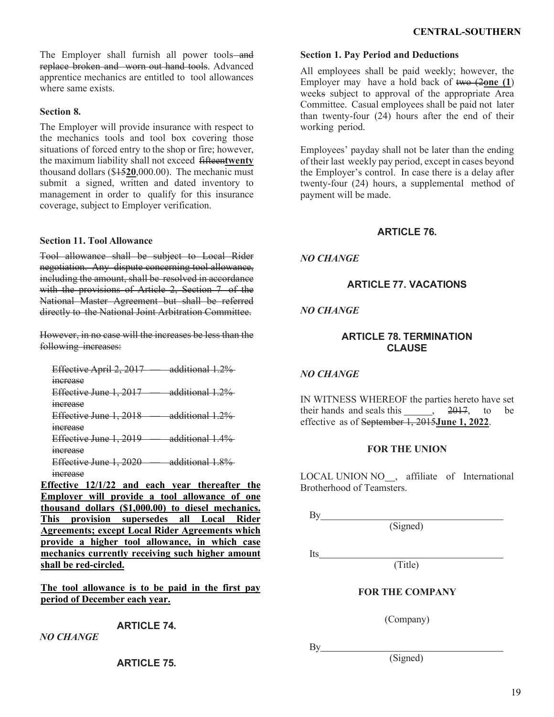The Employer shall furnish all power tools—and replace broken and worn out hand tools. Advanced apprentice mechanics are entitled to tool allowances where same exists.

## **Section 8.**

The Employer will provide insurance with respect to the mechanics tools and tool box covering those situations of forced entry to the shop or fire; however, the maximum liability shall not exceed fifteen**twenty** thousand dollars (\$15**20**,000.00). The mechanic must submit a signed, written and dated inventory to management in order to qualify for this insurance coverage, subject to Employer verification.

## **Section 11. Tool Allowance**

Tool allowance shall be subject to Local Rider negotiation. Any dispute concerning tool allowance, including the amount, shall be resolved in accordance with the provisions of Article 2, Section 7 of the National Master Agreement but shall be referred directly to the National Joint Arbitration Committee.

However, in no case will the increases be less than the following increases:

Effective April 2, 2017 — additional 1.2% increase Effective June 1, 2017 — additional 1.2% increase Effective June 1, 2018 — additional 1.2% increase Effective June 1, 2019 — additional 1.4% increase Effective June 1, 2020 — additional 1.8%

increase

**Effective 12/1/22 and each year thereafter the Employer will provide a tool allowance of one thousand dollars (\$1,000.00) to diesel mechanics. This provision supersedes all Local Rider Agreements; except Local Rider Agreements which provide a higher tool allowance, in which case mechanics currently receiving such higher amount shall be red-circled.**

**The tool allowance is to be paid in the first pay period of December each year.**

**ARTICLE 74.**

*NO CHANGE*

**ARTICLE 75.**

# **Section 1. Pay Period and Deductions**

All employees shall be paid weekly; however, the Employer may have a hold back of two (2**one (1**) weeks subject to approval of the appropriate Area Committee. Casual employees shall be paid not later than twenty-four (24) hours after the end of their working period.

Employees' payday shall not be later than the ending of their last weekly pay period, except in cases beyond the Employer's control. In case there is a delay after twenty-four (24) hours, a supplemental method of payment will be made.

# **ARTICLE 76.**

*NO CHANGE*

# **ARTICLE 77. VACATIONS**

# *NO CHANGE*

# **ARTICLE 78. TERMINATION CLAUSE**

# *NO CHANGE*

IN WITNESS WHEREOF the parties hereto have set their hands and seals this  $\frac{2017}{100}$ , to be effective as of September 1, 2015**June 1, 2022**.

## **FOR THE UNION**

LOCAL UNION NO<sub>,</sub> affiliate of International Brotherhood of Teamsters.

 $By$ 

Its\_

(Signed)

(Title)

# **FOR THE COMPANY**

(Company)

By

(Signed)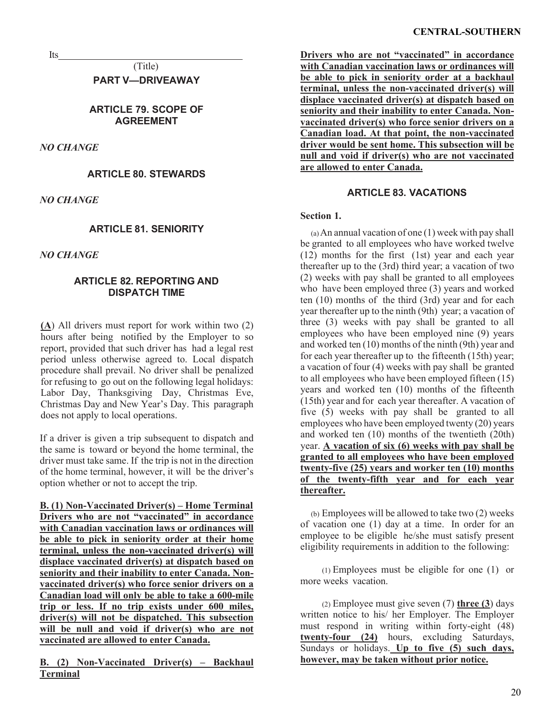Its

(Title) **PART V—DRIVEAWAY**

# **ARTICLE 79. SCOPE OF AGREEMENT**

*NO CHANGE*

**ARTICLE 80. STEWARDS**

*NO CHANGE*

# **ARTICLE 81. SENIORITY**

*NO CHANGE*

# **ARTICLE 82. REPORTING AND DISPATCH TIME**

**(A**) All drivers must report for work within two (2) hours after being notified by the Employer to so report, provided that such driver has had a legal rest period unless otherwise agreed to. Local dispatch procedure shall prevail. No driver shall be penalized for refusing to go out on the following legal holidays: Labor Day, Thanksgiving Day, Christmas Eve, Christmas Day and New Year's Day. This paragraph does not apply to local operations.

If a driver is given a trip subsequent to dispatch and the same is toward or beyond the home terminal, the driver must take same. If the trip is not in the direction of the home terminal, however, it will be the driver's option whether or not to accept the trip.

**B. (1) Non-Vaccinated Driver(s) – Home Terminal Drivers who are not "vaccinated" in accordance with Canadian vaccination laws or ordinances will be able to pick in seniority order at their home terminal, unless the non-vaccinated driver(s) will displace vaccinated driver(s) at dispatch based on seniority and their inability to enter Canada. Nonvaccinated driver(s) who force senior drivers on a Canadian load will only be able to take a 600-mile trip or less. If no trip exists under 600 miles, driver(s) will not be dispatched. This subsection**  will be null and void if driver(s) who are not **vaccinated are allowed to enter Canada.** 

**B. (2) Non-Vaccinated Driver(s) – Backhaul Terminal**

**Drivers who are not "vaccinated" in accordance with Canadian vaccination laws or ordinances will be able to pick in seniority order at a backhaul terminal, unless the non-vaccinated driver(s) will displace vaccinated driver(s) at dispatch based on seniority and their inability to enter Canada. Nonvaccinated driver(s) who force senior drivers on a Canadian load. At that point, the non-vaccinated driver would be sent home. This subsection will be null and void if driver(s) who are not vaccinated are allowed to enter Canada.**

# **ARTICLE 83. VACATIONS**

## **Section 1.**

(a)An annual vacation of one (1) week with pay shall be granted to all employees who have worked twelve (12) months for the first (1st) year and each year thereafter up to the (3rd) third year; a vacation of two (2) weeks with pay shall be granted to all employees who have been employed three (3) years and worked ten (10) months of the third (3rd) year and for each year thereafter up to the ninth (9th) year; a vacation of three (3) weeks with pay shall be granted to all employees who have been employed nine (9) years and worked ten (10) months of the ninth (9th) year and for each year thereafter up to the fifteenth (15th) year; a vacation of four (4) weeks with pay shall be granted to all employees who have been employed fifteen (15) years and worked ten (10) months of the fifteenth (15th) year and for each year thereafter. A vacation of five (5) weeks with pay shall be granted to all employees who have been employed twenty (20) years and worked ten (10) months of the twentieth (20th) year. **A vacation of six (6) weeks with pay shall be granted to all employees who have been employed twenty-five (25) years and worker ten (10) months of the twenty-fifth year and for each year thereafter.**

(b) Employees will be allowed to take two (2) weeks of vacation one (1) day at a time. In order for an employee to be eligible he/she must satisfy present eligibility requirements in addition to the following:

(1) Employees must be eligible for one (1) or more weeks vacation.

(2) Employee must give seven (7) **three (3**) days written notice to his/ her Employer. The Employer must respond in writing within forty-eight (48) **twenty-four (24)** hours, excluding Saturdays, Sundays or holidays. **Up to five (5) such days, however, may be taken without prior notice.**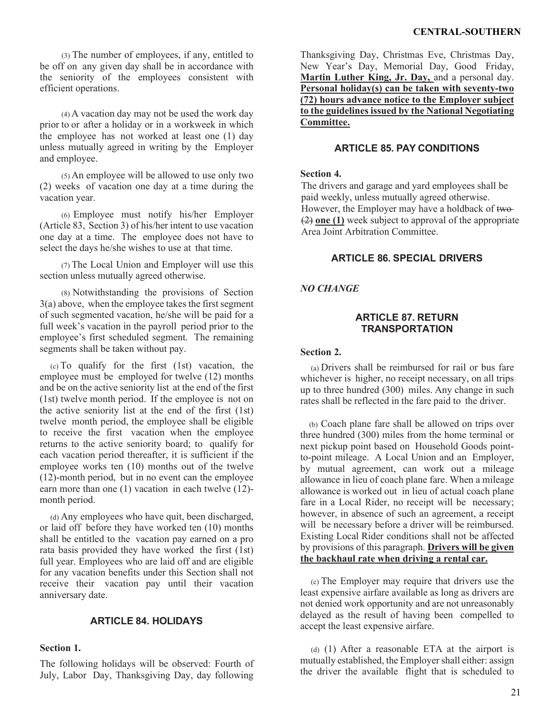(3) The number of employees, if any, entitled to be off on any given day shall be in accordance with the seniority of the employees consistent with efficient operations.

(4) A vacation day may not be used the work day prior to or after a holiday or in a workweek in which the employee has not worked at least one (1) day unless mutually agreed in writing by the Employer and employee.

(5) An employee will be allowed to use only two (2) weeks of vacation one day at a time during the vacation year.

(6) Employee must notify his/her Employer (Article 83, Section 3) of his/her intent to use vacation one day at a time. The employee does not have to select the days he/she wishes to use at that time.

(7) The Local Union and Employer will use this section unless mutually agreed otherwise.

(8) Notwithstanding the provisions of Section 3(a) above, when the employee takes the first segment of such segmented vacation, he/she will be paid for a full week's vacation in the payroll period prior to the employee's first scheduled segment. The remaining segments shall be taken without pay.

(c) To qualify for the first (1st) vacation, the employee must be employed for twelve (12) months and be on the active seniority list at the end of the first (1st) twelve month period. If the employee is not on the active seniority list at the end of the first (1st) twelve month period, the employee shall be eligible to receive the first vacation when the employee returns to the active seniority board; to qualify for each vacation period thereafter, it is sufficient if the employee works ten (10) months out of the twelve (12)-month period, but in no event can the employee earn more than one (1) vacation in each twelve (12) month period.

(d) Any employees who have quit, been discharged, or laid off before they have worked ten (10) months shall be entitled to the vacation pay earned on a pro rata basis provided they have worked the first (1st) full year. Employees who are laid off and are eligible for any vacation benefits under this Section shall not receive their vacation pay until their vacation anniversary date.

## **ARTICLE 84. HOLIDAYS**

### **Section 1.**

The following holidays will be observed: Fourth of July, Labor Day, Thanksgiving Day, day following

Thanksgiving Day, Christmas Eve, Christmas Day, New Year's Day, Memorial Day, Good Friday, **Martin Luther King, Jr. Day,** and a personal day. **Personal holiday(s) can be taken with seventy-two (72) hours advance notice to the Employer subject to the guidelines issued by the National Negotiating Committee.**

## **ARTICLE 85. PAY CONDITIONS**

### **Section 4.**

The drivers and garage and yard employees shall be paid weekly, unless mutually agreed otherwise. However, the Employer may have a holdback of two-(2) **one (1)** week subject to approval of the appropriate Area Joint Arbitration Committee.

### **ARTICLE 86. SPECIAL DRIVERS**

## *NO CHANGE*

### **ARTICLE 87. RETURN TRANSPORTATION**

### **Section 2.**

(a) Drivers shall be reimbursed for rail or bus fare whichever is higher, no receipt necessary, on all trips up to three hundred (300) miles. Any change in such rates shall be reflected in the fare paid to the driver.

(b) Coach plane fare shall be allowed on trips over three hundred (300) miles from the home terminal or next pickup point based on Household Goods pointto-point mileage. A Local Union and an Employer, by mutual agreement, can work out a mileage allowance in lieu of coach plane fare. When a mileage allowance is worked out in lieu of actual coach plane fare in a Local Rider, no receipt will be necessary; however, in absence of such an agreement, a receipt will be necessary before a driver will be reimbursed. Existing Local Rider conditions shall not be affected by provisions of this paragraph. **Drivers will be given the backhaul rate when driving a rental car.**

(c) The Employer may require that drivers use the least expensive airfare available as long as drivers are not denied work opportunity and are not unreasonably delayed as the result of having been compelled to accept the least expensive airfare.

(d) (1) After a reasonable ETA at the airport is mutually established, the Employer shall either: assign the driver the available flight that is scheduled to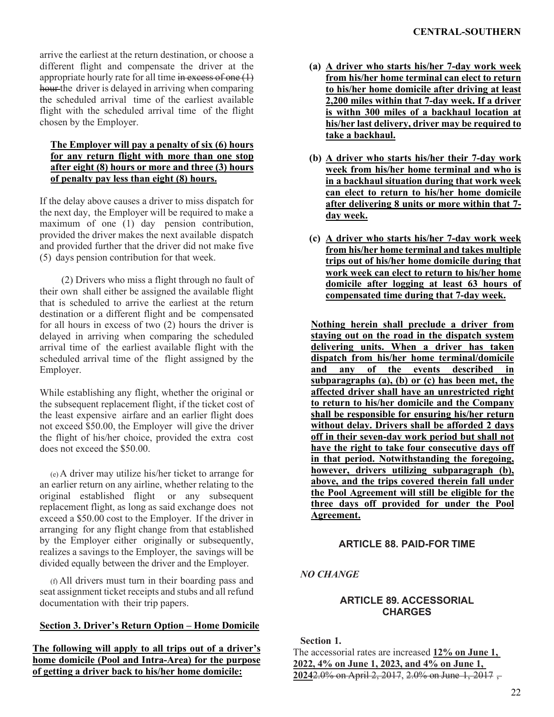arrive the earliest at the return destination, or choose a different flight and compensate the driver at the appropriate hourly rate for all time  $\frac{1}{2}$  in excess of one  $(1)$ hour the driver is delayed in arriving when comparing the scheduled arrival time of the earliest available flight with the scheduled arrival time of the flight chosen by the Employer.

# **The Employer will pay a penalty of six (6) hours for any return flight with more than one stop after eight (8) hours or more and three (3) hours of penalty pay less than eight (8) hours.**

If the delay above causes a driver to miss dispatch for the next day, the Employer will be required to make a maximum of one (1) day pension contribution, provided the driver makes the next available dispatch and provided further that the driver did not make five (5) days pension contribution for that week.

(2) Drivers who miss a flight through no fault of their own shall either be assigned the available flight that is scheduled to arrive the earliest at the return destination or a different flight and be compensated for all hours in excess of two (2) hours the driver is delayed in arriving when comparing the scheduled arrival time of the earliest available flight with the scheduled arrival time of the flight assigned by the Employer.

While establishing any flight, whether the original or the subsequent replacement flight, if the ticket cost of the least expensive airfare and an earlier flight does not exceed \$50.00, the Employer will give the driver the flight of his/her choice, provided the extra cost does not exceed the \$50.00.

(e)A driver may utilize his/her ticket to arrange for an earlier return on any airline, whether relating to the original established flight or any subsequent replacement flight, as long as said exchange does not exceed a \$50.00 cost to the Employer. If the driver in arranging for any flight change from that established by the Employer either originally or subsequently, realizes a savings to the Employer, the savings will be divided equally between the driver and the Employer.

(f) All drivers must turn in their boarding pass and seat assignment ticket receipts and stubs and all refund documentation with their trip papers.

# **Section 3. Driver's Return Option – Home Domicile**

**The following will apply to all trips out of a driver's home domicile (Pool and Intra-Area) for the purpose of getting a driver back to his/her home domicile:** 

- **(a) A driver who starts his/her 7-day work week from his/her home terminal can elect to return to his/her home domicile after driving at least 2,200 miles within that 7-day week. If a driver is withn 300 miles of a backhaul location at his/her last delivery, driver may be required to take a backhaul.**
- **(b) A driver who starts his/her their 7-day work week from his/her home terminal and who is in a backhaul situation during that work week can elect to return to his/her home domicile after delivering 8 units or more within that 7 day week.**
- **(c) A driver who starts his/her 7-day work week from his/her home terminal and takes multiple trips out of his/her home domicile during that work week can elect to return to his/her home domicile after logging at least 63 hours of compensated time during that 7-day week.**

**Nothing herein shall preclude a driver from staying out on the road in the dispatch system delivering units. When a driver has taken dispatch from his/her home terminal/domicile and any of the events described in subparagraphs (a), (b) or (c) has been met, the affected driver shall have an unrestricted right to return to his/her domicile and the Company shall be responsible for ensuring his/her return without delay. Drivers shall be afforded 2 days off in their seven-day work period but shall not have the right to take four consecutive days off in that period. Notwithstanding the foregoing, however, drivers utilizing subparagraph (b), above, and the trips covered therein fall under the Pool Agreement will still be eligible for the three days off provided for under the Pool Agreement.**

# **ARTICLE 88. PAID-FOR TIME**

*NO CHANGE*

# **ARTICLE 89. ACCESSORIAL CHARGES**

# **Section 1.**

The accessorial rates are increased **12% on June 1, 2022, 4% on June 1, 2023, and 4% on June 1, 2024**2.0% on April 2, 2017, 2.0% on June 1, 2017 ,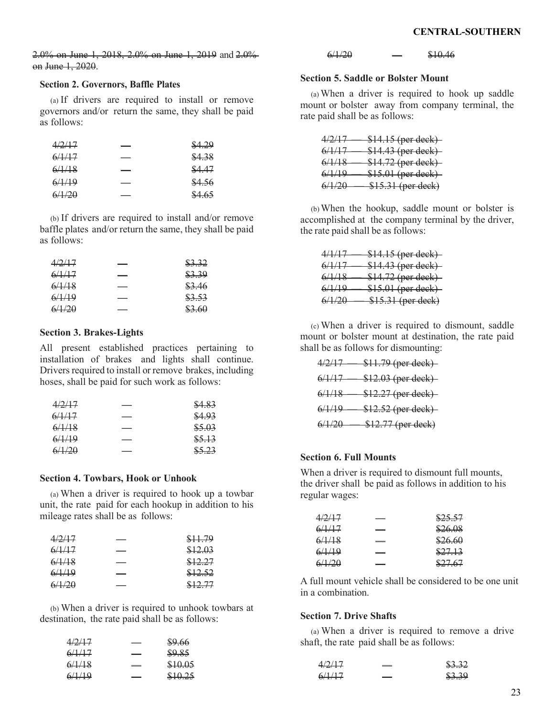2.0% on June 1, 2018, 2.0% on June 1, 2019 and 2.0% on June 1, 2020.

### **Section 2. Governors, Baffle Plates**

(a) If drivers are required to install or remove governors and/or return the same, they shall be paid as follows:

| 4/2/17 | \$4.29 |
|--------|--------|
| 6/1/17 | \$4.38 |
| 6/1/18 | \$4.47 |
| 6/1/19 | \$4.56 |
| 6/1/20 | \$4.65 |

(b) If drivers are required to install and/or remove baffle plates and/or return the same, they shall be paid as follows:

| 4/2/17 | \$3.32 |
|--------|--------|
| 6/1/17 | \$3.39 |
| 6/1/18 | \$3.46 |
| 6/1/19 | \$3.53 |
| 6/1/20 | \$3.60 |

#### **Section 3. Brakes-Lights**

All present established practices pertaining to installation of brakes and lights shall continue. Drivers required to install or remove brakes, including hoses, shall be paid for such work as follows:

| 4/2/17 | \$4.83 |
|--------|--------|
| 6/1/17 | \$4.93 |
| 6/1/18 | \$5.03 |
| 6/1/19 | \$5.13 |
| 6/1/20 | \$5.23 |

#### **Section 4. Towbars, Hook or Unhook**

(a) When a driver is required to hook up a towbar unit, the rate paid for each hookup in addition to his mileage rates shall be as follows:

| 4/2/17 | \$11.79 |
|--------|---------|
| 6/1/17 | \$12.03 |
| 6/1/18 | \$12.27 |
| 6/1/19 | \$12.52 |
| 6/1/20 | \$12.77 |

(b) When a driver is required to unhook towbars at destination, the rate paid shall be as follows:

| 4/2/17 | \$9.66  |
|--------|---------|
| 6/1/17 | \$9.85  |
| 6/1/18 | \$10.05 |
| 6/1/19 | \$10.25 |

 $6/1/20$   $$10.46$ 

#### **Section 5. Saddle or Bolster Mount**

(a) When a driver is required to hook up saddle mount or bolster away from company terminal, the rate paid shall be as follows:

| 4/2/17            | <del>\$14.15 (per deck)</del> |
|-------------------|-------------------------------|
| <del>6/1/17</del> | <del>\$14.43 (per deck)</del> |
| <del>6/1/18</del> | <del>\$14.72 (per deck)</del> |
| <del>6/1/19</del> | \$15.01 (per deck)            |
| <del>6/1/20</del> | \$15.31 (per deck)            |

(b)When the hookup, saddle mount or bolster is accomplished at the company terminal by the driver, the rate paid shall be as follows:

| 1/1/17<br><del>7/1/17</del> | \$14.15 (per deck)  |
|-----------------------------|---------------------|
| 6/1/17<br><del>0/1/17</del> | \$14.43 (per deck)- |
| 6/1/1Q<br><del>0/1/10</del> | \$14.72 (per deck)  |
| 6/1/10                      | \$15.01 (per deck)  |
| <del>0/1/17</del>           |                     |
| 6/1/20                      | \$15.31 (per deck)  |

(c) When a driver is required to dismount, saddle mount or bolster mount at destination, the rate paid shall be as follows for dismounting:

| 4/2/17            | <del>\$11.79 (per deck)</del> |
|-------------------|-------------------------------|
| 6/1/17            | <del>\$12.03 (per deck)</del> |
| 6/1/18            | \$12.27 (per deck)            |
| 6/1/19            | <del>\$12.52 (per deck)</del> |
| <del>6/1/20</del> | \$12.77 (per deck)            |

#### **Section 6. Full Mounts**

When a driver is required to dismount full mounts, the driver shall be paid as follows in addition to his regular wages:

| 4/2/17 | \$25.57 |
|--------|---------|
| 6/1/17 | \$26.08 |
| 6/1/18 | \$26.60 |
| 6/1/19 | \$27.13 |
| 6/1/20 | \$27.67 |

A full mount vehicle shall be considered to be one unit in a combination.

#### **Section 7. Drive Shafts**

(a) When a driver is required to remove a drive shaft, the rate paid shall be as follows:

| 4/2/17 | \$3.32 |
|--------|--------|
| 6/1/17 | \$3.39 |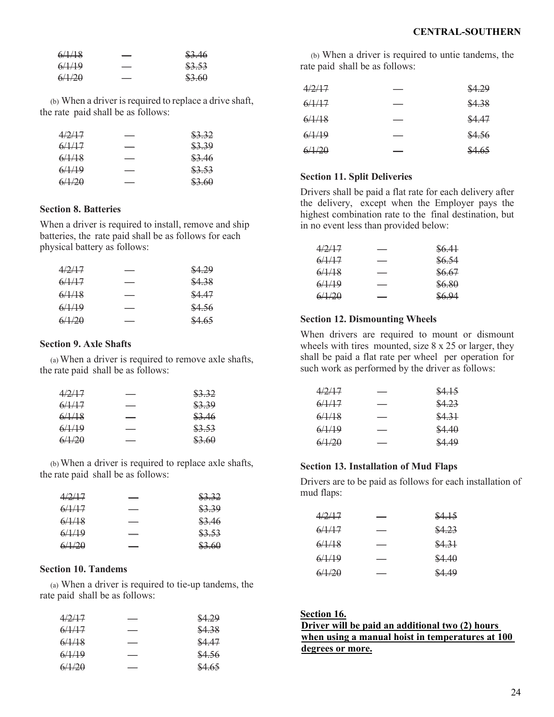| 6/1/18 | \$3.46 |
|--------|--------|
| 6/1/19 | \$3.53 |
| 6/1/20 | \$3.60 |

(b) When a driver is required to replace a drive shaft, the rate paid shall be as follows:

| 4/2/17 | \$3.32 |
|--------|--------|
| 6/1/17 | \$3.39 |
| 6/1/18 | \$3.46 |
| 6/1/19 | \$3.53 |
| 6/1/20 | \$3.60 |

## **Section 8. Batteries**

When a driver is required to install, remove and ship batteries, the rate paid shall be as follows for each physical battery as follows:

| 4/2/17 | \$4.29 |
|--------|--------|
| 6/1/17 | \$4.38 |
| 6/1/18 | \$4.47 |
| 6/1/19 | \$4.56 |
| 6/1/20 | \$4.65 |

### **Section 9. Axle Shafts**

(a)When a driver is required to remove axle shafts, the rate paid shall be as follows:

| \$3.32 |
|--------|
| \$3.39 |
| \$3.46 |
| \$3.53 |
| \$3.60 |
|        |

(b)When a driver is required to replace axle shafts, the rate paid shall be as follows:

| 4/2/17 | \$3.32 |
|--------|--------|
| 6/1/17 | \$3.39 |
| 6/1/18 | \$3.46 |
| 6/1/19 | \$3.53 |
| 6/1/20 | \$3.60 |

### **Section 10. Tandems**

(a) When a driver is required to tie-up tandems, the rate paid shall be as follows:

| 4/2/17 | \$4.29 |
|--------|--------|
| 6/1/17 | \$4.38 |
| 6/1/18 | \$4.47 |
| 6/1/19 | \$4.56 |
| 6/1/20 | \$4.65 |
|        |        |

(b) When a driver is required to untie tandems, the rate paid shall be as follows:

| 4/2/17 | \$4.29 |
|--------|--------|
| 6/1/17 | \$4.38 |
| 6/1/18 | \$4.47 |
| 6/1/19 | \$4.56 |
| 6/1/20 | \$4.65 |

### **Section 11. Split Deliveries**

Drivers shall be paid a flat rate for each delivery after the delivery, except when the Employer pays the highest combination rate to the final destination, but in no event less than provided below:

| 4/2/17 | \$6.41 |
|--------|--------|
| 6/1/17 | \$6.54 |
| 6/1/18 | \$6.67 |
| 6/1/19 | \$6.80 |
| 6/1/20 | \$6.94 |

### **Section 12. Dismounting Wheels**

When drivers are required to mount or dismount wheels with tires mounted, size 8 x 25 or larger, they shall be paid a flat rate per wheel per operation for such work as performed by the driver as follows:

| 4/2/17 | \$4.15 |
|--------|--------|
| 6/1/17 | \$4.23 |
| 6/1/18 | \$4.31 |
| 6/1/19 | \$4.40 |
| 6/1/20 | \$4.49 |
|        |        |

#### **Section 13. Installation of Mud Flaps**

Drivers are to be paid as follows for each installation of mud flaps:

| 4/2/17 | \$4.15 |
|--------|--------|
| 6/1/17 | \$4.23 |
| 6/1/18 | \$4.31 |
| 6/1/19 | \$4.40 |
| 6/1/20 | \$4.49 |

| Section 16.                                      |
|--------------------------------------------------|
| Driver will be paid an additional two (2) hours  |
| when using a manual hoist in temperatures at 100 |
| degrees or more.                                 |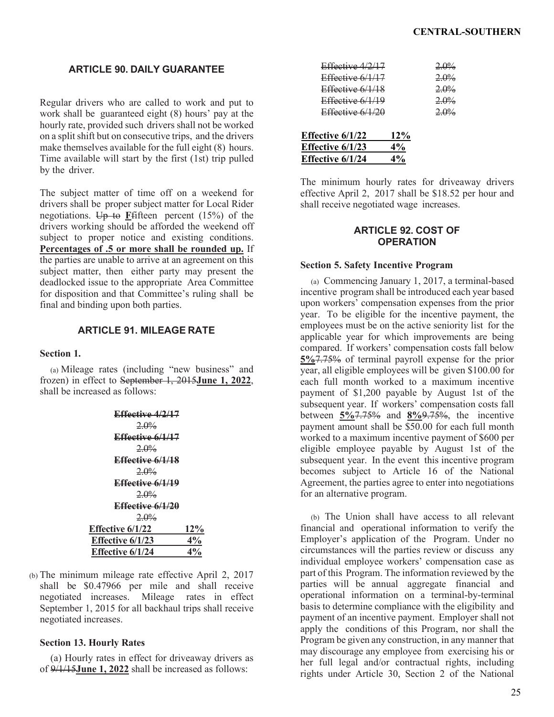## **ARTICLE 90. DAILY GUARANTEE**

Regular drivers who are called to work and put to work shall be guaranteed eight (8) hours' pay at the hourly rate, provided such drivers shall not be worked on a splitshift but on consecutive trips, and the drivers make themselves available for the full eight (8) hours. Time available will start by the first (1st) trip pulled by the driver.

The subject matter of time off on a weekend for drivers shall be proper subject matter for Local Rider negotiations.  $\overline{Up}$  to **F**fifteen percent (15%) of the drivers working should be afforded the weekend off subject to proper notice and existing conditions. **Percentages of .5 or more shall be rounded up.** If the parties are unable to arrive at an agreement on this subject matter, then either party may present the deadlocked issue to the appropriate Area Committee for disposition and that Committee's ruling shall be final and binding upon both parties.

# **ARTICLE 91. MILEAGE RATE**

### **Section 1.**

(a) Mileage rates (including "new business" and frozen) in effect to September 1, 2015**June 1, 2022**, shall be increased as follows:

| Effective 4/2/17        |        |
|-------------------------|--------|
| $2.0\%$                 |        |
| Effective 6/1/17        |        |
| $2.0\%$                 |        |
| Effective 6/1/18        |        |
| $2.0\%$                 |        |
| Effective 6/1/19        |        |
| $2.0\%$                 |        |
| Effective 6/1/20        |        |
| $2.0\%$                 |        |
| <b>Effective 6/1/22</b> | $12\%$ |
| <b>Effective 6/1/23</b> | 4%     |
| <b>Effective 6/1/24</b> | 4%     |

(b) The minimum mileage rate effective April 2, 2017 shall be \$0.47966 per mile and shall receive negotiated increases. Mileage rates in effect September 1, 2015 for all backhaul trips shall receive negotiated increases.

## **Section 13. Hourly Rates**

(a) Hourly rates in effect for driveaway drivers as of 9/1/15**June 1, 2022** shall be increased as follows:

| Effective $4/2/17$ |     | $2.0\%$ |
|--------------------|-----|---------|
| Effective 6/1/17   |     | 2.0%    |
| Effective $6/1/18$ |     | 2.0%    |
| Effective $6/1/19$ |     | 2.0%    |
| Effective $6/1/20$ |     | 2.0%    |
|                    |     |         |
| Effective 6/1/22   | 12% |         |
| Effective 6/1/23   | 4%  |         |
| Effective 6/1/24   | 4%  |         |
|                    |     |         |

The minimum hourly rates for driveaway drivers effective April 2, 2017 shall be \$18.52 per hour and shall receive negotiated wage increases.

## **ARTICLE 92. COST OF OPERATION**

#### **Section 5. Safety Incentive Program**

(a) Commencing January 1, 2017, a terminal-based incentive program shall be introduced each year based upon workers' compensation expenses from the prior year. To be eligible for the incentive payment, the employees must be on the active seniority list for the applicable year for which improvements are being compared. If workers' compensation costs fall below **5%**7.75% of terminal payroll expense for the prior year, all eligible employees will be given \$100.00 for each full month worked to a maximum incentive payment of \$1,200 payable by August 1st of the subsequent year. If workers' compensation costs fall between **5%**7.75% and **8%**9.75%, the incentive payment amount shall be \$50.00 for each full month worked to a maximum incentive payment of \$600 per eligible employee payable by August 1st of the subsequent year. In the event this incentive program becomes subject to Article 16 of the National Agreement, the parties agree to enter into negotiations for an alternative program.

(b) The Union shall have access to all relevant financial and operational information to verify the Employer's application of the Program. Under no circumstances will the parties review or discuss any individual employee workers' compensation case as part of this Program. The information reviewed by the parties will be annual aggregate financial and operational information on a terminal-by-terminal basis to determine compliance with the eligibility and payment of an incentive payment. Employer shall not apply the conditions of this Program, nor shall the Program be given any construction, in any manner that may discourage any employee from exercising his or her full legal and/or contractual rights, including rights under Article 30, Section 2 of the National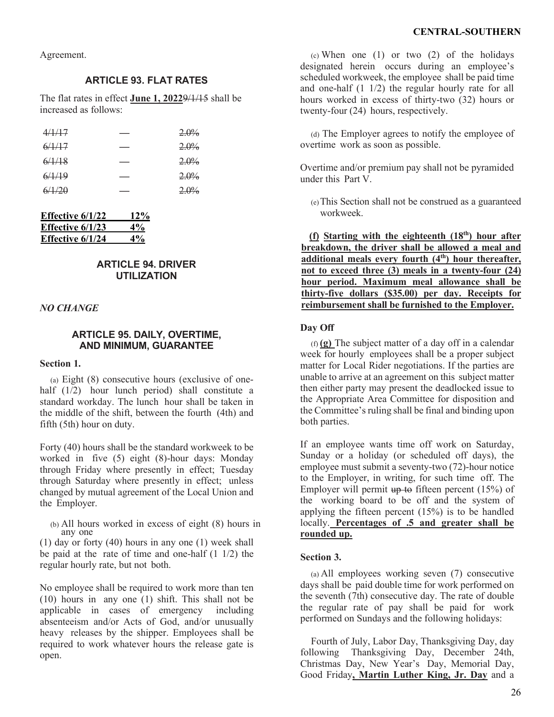Agreement.

# **ARTICLE 93. FLAT RATES**

The flat rates in effect **June 1, 2022**9/1/15 shall be increased as follows:

| 4/1/17 | $2.0\%$ |
|--------|---------|
| 6/1/17 | 2.0%    |
| 6/1/18 | $2.0\%$ |
| 6/1/19 | 2.0%    |
| 6/1/20 | $2.0\%$ |

| Effective 6/1/22        | 12% |
|-------------------------|-----|
| Effective $6/1/23$      | 4%  |
| <b>Effective 6/1/24</b> | 4%  |

# **ARTICLE 94. DRIVER UTILIZATION**

### *NO CHANGE*

## **ARTICLE 95. DAILY, OVERTIME, AND MINIMUM, GUARANTEE**

#### **Section 1.**

(a) Eight (8) consecutive hours (exclusive of onehalf (1/2) hour lunch period) shall constitute a standard workday. The lunch hour shall be taken in the middle of the shift, between the fourth (4th) and fifth (5th) hour on duty.

Forty (40) hours shall be the standard workweek to be worked in five (5) eight (8)-hour days: Monday through Friday where presently in effect; Tuesday through Saturday where presently in effect; unless changed by mutual agreement of the Local Union and the Employer.

(b) All hours worked in excess of eight (8) hours in any one

(1) day or forty (40) hours in any one (1) week shall be paid at the rate of time and one-half (1 1/2) the regular hourly rate, but not both.

No employee shall be required to work more than ten (10) hours in any one (1) shift. This shall not be applicable in cases of emergency including absenteeism and/or Acts of God, and/or unusually heavy releases by the shipper. Employees shall be required to work whatever hours the release gate is open.

(c) When one  $(1)$  or two  $(2)$  of the holidays designated herein occurs during an employee's scheduled workweek, the employee shall be paid time and one-half (1 1/2) the regular hourly rate for all hours worked in excess of thirty-two (32) hours or twenty-four (24) hours, respectively.

(d) The Employer agrees to notify the employee of overtime work as soon as possible.

Overtime and/or premium pay shall not be pyramided under this Part V.

(e)This Section shall not be construed as a guaranteed workweek.

(f) **Starting with the eighteenth**  $(18<sup>th</sup>)$  hour after **breakdown, the driver shall be allowed a meal and**  additional meals every fourth (4<sup>th</sup>) hour thereafter, **not to exceed three (3) meals in a twenty-four (24) hour period. Maximum meal allowance shall be thirty-five dollars (\$35.00) per day. Receipts for reimbursement shall be furnished to the Employer.**

### **Day Off**

(f) **(g)** The subject matter of a day off in a calendar week for hourly employees shall be a proper subject matter for Local Rider negotiations. If the parties are unable to arrive at an agreement on this subject matter then either party may present the deadlocked issue to the Appropriate Area Committee for disposition and the Committee's ruling shall be final and binding upon both parties.

If an employee wants time off work on Saturday, Sunday or a holiday (or scheduled off days), the employee must submit a seventy-two (72)-hour notice to the Employer, in writing, for such time off. The Employer will permit  $up$  to fifteen percent (15%) of the working board to be off and the system of applying the fifteen percent (15%) is to be handled locally. **Percentages of .5 and greater shall be rounded up.**

### **Section 3.**

(a) All employees working seven (7) consecutive days shall be paid double time for work performed on the seventh (7th) consecutive day. The rate of double the regular rate of pay shall be paid for work performed on Sundays and the following holidays:

Fourth of July, Labor Day, Thanksgiving Day, day following Thanksgiving Day, December 24th, Christmas Day, New Year's Day, Memorial Day, Good Friday**, Martin Luther King, Jr. Day** and a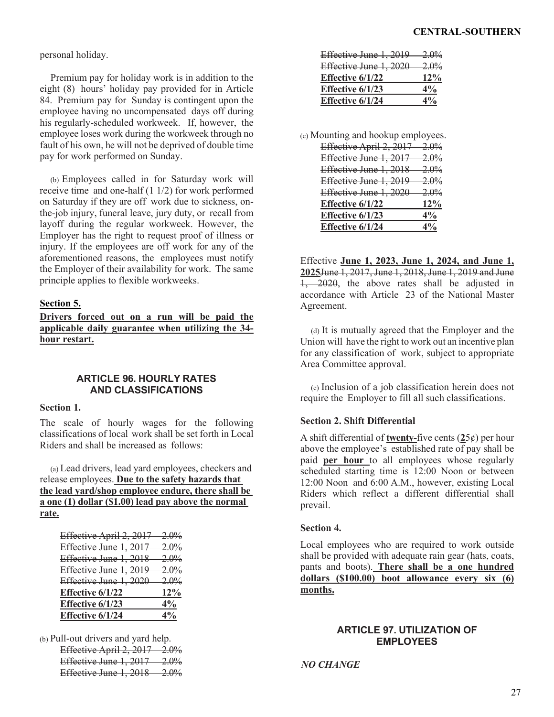personal holiday.

Premium pay for holiday work is in addition to the eight (8) hours' holiday pay provided for in Article 84. Premium pay for Sunday is contingent upon the employee having no uncompensated days off during his regularly-scheduled workweek. If, however, the employee loses work during the workweek through no fault of his own, he will not be deprived of double time pay for work performed on Sunday.

(b) Employees called in for Saturday work will receive time and one-half (1 1/2) for work performed on Saturday if they are off work due to sickness, onthe-job injury, funeral leave, jury duty, or recall from layoff during the regular workweek. However, the Employer has the right to request proof of illness or injury. If the employees are off work for any of the aforementioned reasons, the employees must notify the Employer of their availability for work. The same principle applies to flexible workweeks.

# **Section 5.**

**Drivers forced out on a run will be paid the applicable daily guarantee when utilizing the 34 hour restart.**

# **ARTICLE 96. HOURLY RATES AND CLASSIFICATIONS**

### **Section 1.**

The scale of hourly wages for the following classifications of local work shall be set forth in Local Riders and shall be increased as follows:

(a) Lead drivers, lead yard employees, checkers and release employees. **Due to the safety hazards that the lead yard/shop employee endure, there shall be a one (1) dollar (\$1.00) lead pay above the normal rate.**

| Effective April 2, 2017 2.0%       |          |
|------------------------------------|----------|
|                                    |          |
| Effective June 1, 2017             | $-2.0\%$ |
| <b>Effective June 1, 2018</b> 2.0% |          |
| Effective June 1, 2019 2.0%        |          |
| Effective June 1, 2020 2.0%        |          |
| Effective 6/1/22                   | $12\%$   |
| Effective 6/1/23                   | $4\%$    |
| <b>Effective 6/1/24</b>            | $4\%$    |

(b) Pull-out drivers and yard help. Effective April 2, 2017 2.0% Effective June 1, 2017 2.0% Effective June 1, 2018 2.0%

| Effective June 1, 2019  | $2.0\%$ |
|-------------------------|---------|
| Effective June 1, 2020  | $2.0\%$ |
| <b>Effective 6/1/22</b> | 12%     |
| Effective 6/1/23        | $4\%$   |
| <b>Effective 6/1/24</b> | 4%      |
|                         |         |

(c) Mounting and hookup employees.

| Effective April 2, 2017 | <del>2.0%</del>  |
|-------------------------|------------------|
| Effective June 1, 2017  | 2.0%             |
| Effective June 1, 2018  | 2.0 <sub>%</sub> |
| Effective June 1, 2019  | 2.0%             |
| Effective June 1, 2020  | <del>2.0%</del>  |
| <b>Effective 6/1/22</b> | 12%              |
| Effective 6/1/23        | 4%               |
| Effective 6/1/24        | 4%               |
|                         |                  |

Effective **June 1, 2023, June 1, 2024, and June 1, 2025**June 1, 2017, June 1, 2018, June 1, 2019 and June 1, 2020, the above rates shall be adjusted in accordance with Article 23 of the National Master Agreement.

(d) It is mutually agreed that the Employer and the Union will have the right to work out an incentive plan for any classification of work, subject to appropriate Area Committee approval.

(e) Inclusion of a job classification herein does not require the Employer to fill all such classifications.

## **Section 2. Shift Differential**

A shift differential of **twenty-**five cents (**2**5¢) per hour above the employee's established rate of pay shall be paid **per hour** to all employees whose regularly scheduled starting time is 12:00 Noon or between 12:00 Noon and 6:00 A.M., however, existing Local Riders which reflect a different differential shall prevail.

## **Section 4.**

Local employees who are required to work outside shall be provided with adequate rain gear (hats, coats, pants and boots). **There shall be a one hundred dollars (\$100.00) boot allowance every six (6) months.**

## **ARTICLE 97. UTILIZATION OF EMPLOYEES**

*NO CHANGE*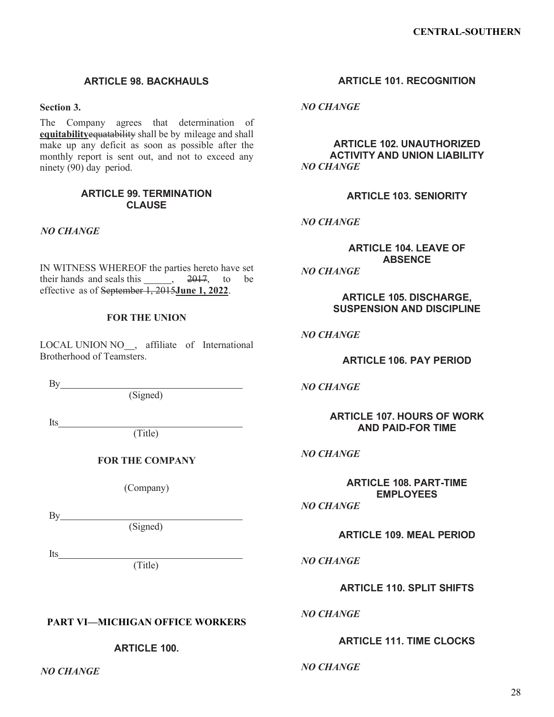# **ARTICLE 98. BACKHAULS**

**Section 3.**

The Company agrees that determination of **equitability**equatability shall be by mileage and shall make up any deficit as soon as possible after the monthly report is sent out, and not to exceed any ninety (90) day period.

## **ARTICLE 99. TERMINATION CLAUSE**

*NO CHANGE*

IN WITNESS WHEREOF the parties hereto have set their hands and seals this  $\overline{)}$ ,  $\overline{2017}$ , to be effective as of September 1, 2015**June 1, 2022**.

### **FOR THE UNION**

LOCAL UNION NO<sub>,</sub> affiliate of International Brotherhood of Teamsters.

By

(Signed)

Its

(Title)

**FOR THE COMPANY**

(Company)

By

Its

(Signed)

(Title)

# **PART VI—MICHIGAN OFFICE WORKERS**

**ARTICLE 100.**

*NO CHANGE*

# **ARTICLE 101. RECOGNITION**

*NO CHANGE*

**ARTICLE 102. UNAUTHORIZED ACTIVITY AND UNION LIABILITY** *NO CHANGE*

**ARTICLE 103. SENIORITY**

*NO CHANGE*

**ARTICLE 104. LEAVE OF ABSENCE**

*NO CHANGE*

**ARTICLE 105. DISCHARGE, SUSPENSION AND DISCIPLINE**

*NO CHANGE*

**ARTICLE 106. PAY PERIOD**

*NO CHANGE*

**ARTICLE 107. HOURS OF WORK AND PAID-FOR TIME**

## *NO CHANGE*

**ARTICLE 108. PART-TIME EMPLOYEES**

*NO CHANGE*

**ARTICLE 109. MEAL PERIOD**

*NO CHANGE*

**ARTICLE 110. SPLIT SHIFTS**

## *NO CHANGE*

**ARTICLE 111. TIME CLOCKS**

*NO CHANGE*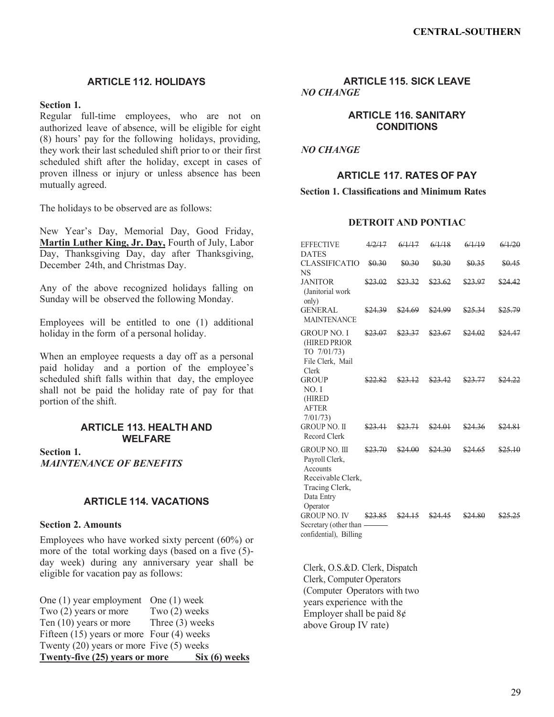# **ARTICLE 112. HOLIDAYS**

## **Section 1.**

Regular full-time employees, who are not on authorized leave of absence, will be eligible for eight (8) hours' pay for the following holidays, providing, they work their last scheduled shift prior to or their first scheduled shift after the holiday, except in cases of proven illness or injury or unless absence has been mutually agreed.

The holidays to be observed are as follows:

New Year's Day, Memorial Day, Good Friday, **Martin Luther King, Jr. Day,** Fourth of July, Labor Day, Thanksgiving Day, day after Thanksgiving, December 24th, and Christmas Day.

Any of the above recognized holidays falling on Sunday will be observed the following Monday.

Employees will be entitled to one (1) additional holiday in the form of a personal holiday.

When an employee requests a day off as a personal paid holiday and a portion of the employee's scheduled shift falls within that day, the employee shall not be paid the holiday rate of pay for that portion of the shift.

#### **ARTICLE 113. HEALTH AND WELFARE**

**Section 1.** *MAINTENANCE OF BENEFITS*

## **ARTICLE 114. VACATIONS**

### **Section 2. Amounts**

Employees who have worked sixty percent (60%) or more of the total working days (based on a five (5) day week) during any anniversary year shall be eligible for vacation pay as follows:

| Twenty-five (25) years or more                | Six(6) weeks      |
|-----------------------------------------------|-------------------|
| Twenty $(20)$ years or more Five $(5)$ weeks  |                   |
| Fifteen $(15)$ years or more Four $(4)$ weeks |                   |
| Ten $(10)$ years or more                      | Three $(3)$ weeks |
| Two $(2)$ years or more                       | Two $(2)$ weeks   |
| One $(1)$ year employment One $(1)$ week      |                   |

**ARTICLE 115. SICK LEAVE** *NO CHANGE*

## **ARTICLE 116. SANITARY CONDITIONS**

*NO CHANGE*

# **ARTICLE 117. RATES OF PAY**

### **Section 1. Classifications and Minimum Rates**

# **DETROIT AND PONTIAC**

| <b>EFFECTIVE</b><br><b>DATES</b>                                                                             | 4/2/17  | 6/1/17  | 6/1/18  | 6/1/19  | 6/1/20  |
|--------------------------------------------------------------------------------------------------------------|---------|---------|---------|---------|---------|
| <b>CLASSIFICATIO</b><br><b>NS</b>                                                                            | \$0.30  | \$0.30  | \$0.30  | \$0.35  | \$0.45  |
| <b>JANITOR</b><br>(Janitorial work<br>only)                                                                  | \$23.02 | \$23.32 | \$23.62 | \$23.97 | \$24.42 |
| <b>GENERAL</b><br><b>MAINTENANCE</b>                                                                         | \$24.39 | \$24.69 | \$24.99 | \$25.34 | \$25.79 |
| <b>GROUP NO. I</b><br>(HIRED PRIOR<br>TO 7/01/73)<br>File Clerk, Mail<br>Clerk                               | \$23.07 | \$23.37 | \$23.67 | \$24.02 | \$24.47 |
| <b>GROUP</b><br>NO.I<br>(HIRED<br><b>AFTER</b><br>7/01/73                                                    |         |         |         |         |         |
| <b>GROUP NO. II</b><br>Record Clerk                                                                          | \$23.41 | \$23.71 | \$24.01 | \$24.36 | \$24.81 |
| GROUP NO. III<br>Payroll Clerk,<br>Accounts<br>Receivable Clerk,<br>Tracing Clerk,<br>Data Entry<br>Operator | \$23.70 | \$24.00 | \$24.30 | \$24.65 | \$25.10 |
| <b>GROUP NO. IV</b><br>Secretary (other than<br>confidential), Billing                                       | \$23.85 |         |         |         |         |

Clerk, O.S.&D. Clerk, Dispatch Clerk, Computer Operators (Computer Operators with two years experience with the Employer shall be paid  $8¢$ above Group IV rate)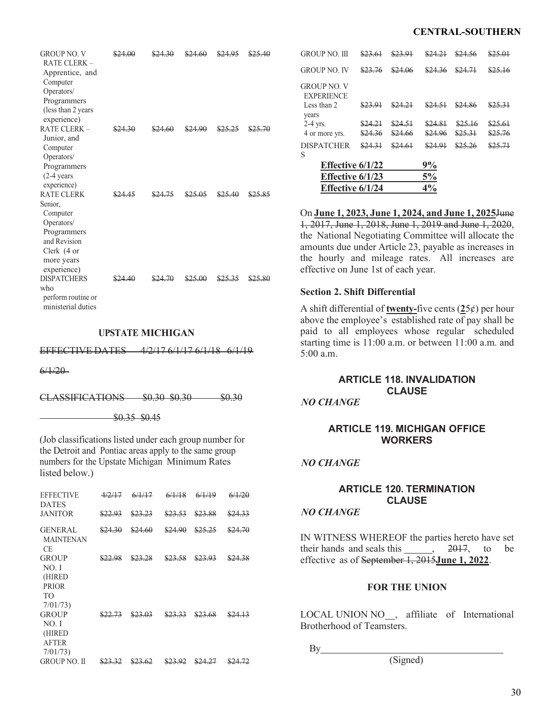### **CENTRAL-SOUTHERN**

| <b>GROUP NO. V</b><br><b>RATE CLERK -</b><br>Apprentice, and<br>Computer<br>Operators/<br>Programmers<br>(less than 2 years<br>experience) | \$24.00 | \$24.60 |  |
|--------------------------------------------------------------------------------------------------------------------------------------------|---------|---------|--|
| RATE CLERK -<br>Junior, and<br>Computer<br>Operators/<br>Programmers<br>$(2-4)$ years<br>experience)                                       |         |         |  |
| <b>RATE CLERK</b><br>Senior,<br>Computer<br>Operators/<br>Programmers<br>and Revision<br>Clerk (4 or<br>more years<br>experience)          |         |         |  |
| <b>DISPATCHERS</b><br>who<br>perform routine or<br>ministerial duties                                                                      |         |         |  |

### **UPSTATE MICHIGAN**

EFFECTIVE DATES 4/2/17 6/1/17 6/1/18 6/1/19

 $6/1/20$ 

CLASSIFICATIONS \$0.30 \$0.30 \$0.30

\$0.35 \$0.45

(Job classifications listed under each group number for the Detroit and Pontiac areas apply to the same group numbers for the Upstate Michigan Minimum Rates listed below.)

| <b>EFFECTIVE</b><br><b>DATES</b>                                | 12/17   | 6/1/17  | 6/1/18  | 6/1/19  | 6/1/20  |
|-----------------------------------------------------------------|---------|---------|---------|---------|---------|
| <b>JANITOR</b>                                                  | \$22.93 | \$23.23 | \$23.53 | \$23.88 | \$24.33 |
| <b>GENERAL</b><br><b>MAINTENAN</b><br>CE.                       | \$24.30 | \$24.60 | \$24.90 | \$25.25 | \$24.70 |
| <b>GROUP</b><br>NO.I<br>(HIRED<br><b>PRIOR</b><br>TО<br>7/01/73 | \$22.98 | \$23.28 | \$23.58 | \$23.93 | \$24.38 |
| <b>GROUP</b><br>NO. I<br>(HIRED<br><b>AFTER</b><br>7/01/73      | \$22.73 | \$23.03 | \$23.33 | \$23.68 | \$24.13 |
| <b>GROUP NO. II</b>                                             |         |         |         |         |         |

| Effective $6/1/23$                              |                    |                    | 5%                 |                    |                    |
|-------------------------------------------------|--------------------|--------------------|--------------------|--------------------|--------------------|
| S<br>Effective $6/1/22$                         |                    |                    | 9%                 |                    |                    |
| <b>DISPATCHER</b>                               | \$24.31            | \$24.61            | \$24.91            | \$25.26            | \$25.71            |
| years<br>$2-4$ yrs.<br>4 or more yrs.           | \$24.21<br>\$24.36 | \$24.51<br>\$24.66 | \$24.81<br>\$24.96 | \$25.16<br>\$25.31 | \$25.61<br>\$25.76 |
| GROUP NO. V<br><b>EXPERIENCE</b><br>Less than 2 | \$23.91            | \$24.21            | \$24.51            | \$24.86            | \$25.31            |
| <b>GROUP NO. IV</b>                             | \$23.76            | \$24.06            | \$24.36            | \$24.71            | \$25.16            |
| GROUP NO. III                                   | \$23.61            | \$23.91            | \$24.21            | \$24.56            | \$25.01            |

On **June 1, 2023, June 1, 2024, and June 1, 2025**June 1, 2017, June 1, 2018, June 1, 2019 and June 1, 2020, the National Negotiating Committee will allocate the amounts due under Article 23, payable as increases in the hourly and mileage rates. All increases are effective on June 1st of each year.

#### **Section 2. Shift Differential**

A shift differential of **twenty-**five cents (**2**5¢) per hour above the employee's established rate of pay shall be paid to all employees whose regular scheduled starting time is 11:00 a.m. or between 11:00 a.m. and 5:00 a.m.

# **ARTICLE 118. INVALIDATION CLAUSE**

*NO CHANGE*

## **ARTICLE 119. MICHIGAN OFFICE WORKERS**

### *NO CHANGE*

# **ARTICLE 120. TERMINATION CLAUSE**

### *NO CHANGE*

IN WITNESS WHEREOF the parties hereto have set their hands and seals this  $\frac{2017}{100}$ , to be effective as of September 1, 2015**June 1, 2022**.

### **FOR THE UNION**

LOCAL UNION NO<sub>,</sub> affiliate of International Brotherhood of Teamsters.

By

(Signed)